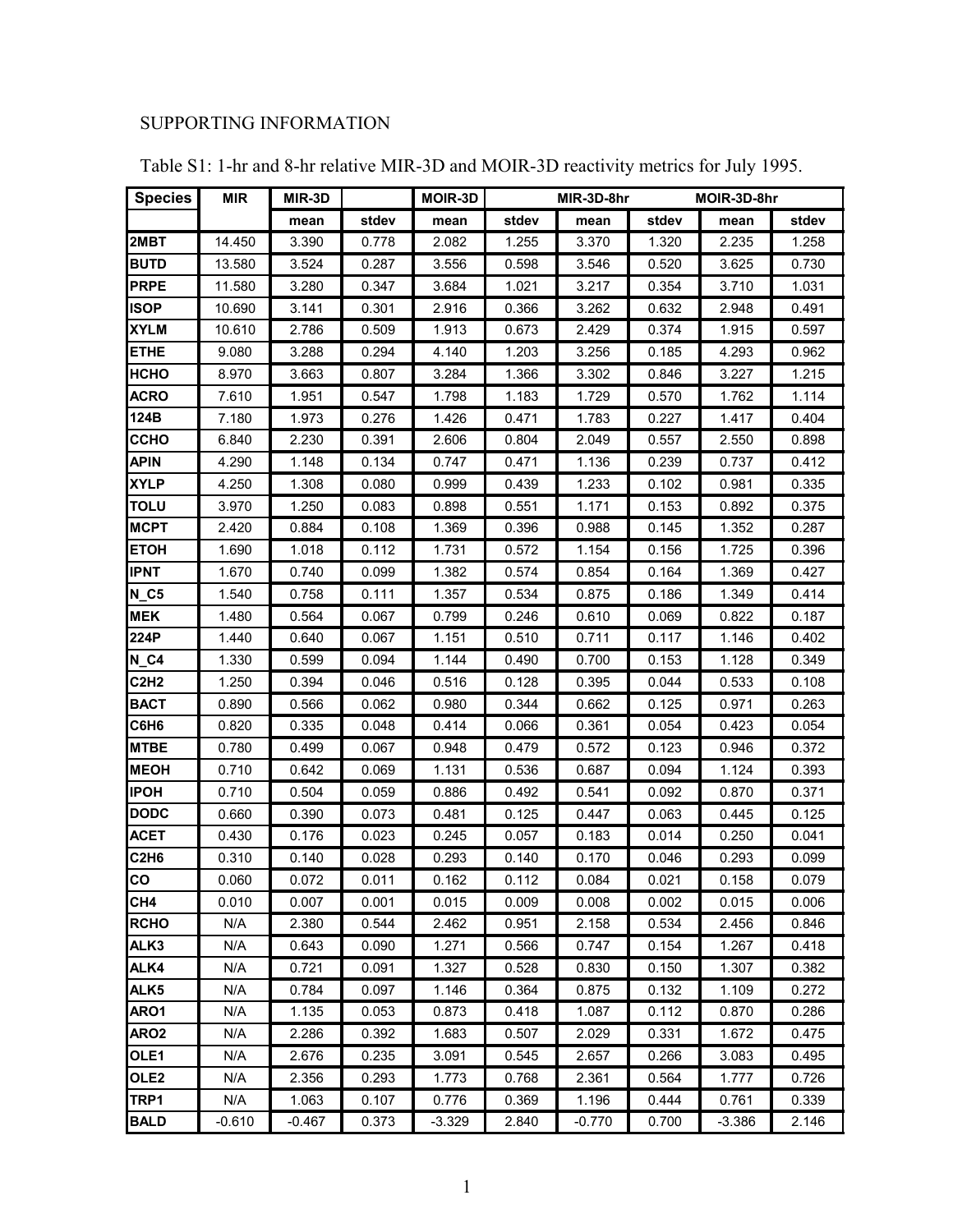## SUPPORTING INFORMATION

| <b>Species</b>                | <b>MIR</b> | MIR-3D   |       | <b>MOIR-3D</b> |       | MIR-3D-8hr |       | MOIR-3D-8hr |       |  |
|-------------------------------|------------|----------|-------|----------------|-------|------------|-------|-------------|-------|--|
|                               |            | mean     | stdev | mean           | stdev | mean       | stdev | mean        | stdev |  |
| 2MBT                          | 14.450     | 3.390    | 0.778 | 2.082          | 1.255 | 3.370      | 1.320 | 2.235       | 1.258 |  |
| <b>BUTD</b>                   | 13.580     | 3.524    | 0.287 | 3.556          | 0.598 | 3.546      | 0.520 | 3.625       | 0.730 |  |
| <b>PRPE</b>                   | 11.580     | 3.280    | 0.347 | 3.684          | 1.021 | 3.217      | 0.354 | 3.710       | 1.031 |  |
| <b>ISOP</b>                   | 10.690     | 3.141    | 0.301 | 2.916          | 0.366 | 3.262      | 0.632 | 2.948       | 0.491 |  |
| <b>XYLM</b>                   | 10.610     | 2.786    | 0.509 | 1.913          | 0.673 | 2.429      | 0.374 | 1.915       | 0.597 |  |
| <b>ETHE</b>                   | 9.080      | 3.288    | 0.294 | 4.140          | 1.203 | 3.256      | 0.185 | 4.293       | 0.962 |  |
| <b>НСНО</b>                   | 8.970      | 3.663    | 0.807 | 3.284          | 1.366 | 3.302      | 0.846 | 3.227       | 1.215 |  |
| <b>ACRO</b>                   | 7.610      | 1.951    | 0.547 | 1.798          | 1.183 | 1.729      | 0.570 | 1.762       | 1.114 |  |
| 124B                          | 7.180      | 1.973    | 0.276 | 1.426          | 0.471 | 1.783      | 0.227 | 1.417       | 0.404 |  |
| <b>CCHO</b>                   | 6.840      | 2.230    | 0.391 | 2.606          | 0.804 | 2.049      | 0.557 | 2.550       | 0.898 |  |
| <b>APIN</b>                   | 4.290      | 1.148    | 0.134 | 0.747          | 0.471 | 1.136      | 0.239 | 0.737       | 0.412 |  |
| <b>XYLP</b>                   | 4.250      | 1.308    | 0.080 | 0.999          | 0.439 | 1.233      | 0.102 | 0.981       | 0.335 |  |
| <b>TOLU</b>                   | 3.970      | 1.250    | 0.083 | 0.898          | 0.551 | 1.171      | 0.153 | 0.892       | 0.375 |  |
| <b>MCPT</b>                   | 2.420      | 0.884    | 0.108 | 1.369          | 0.396 | 0.988      | 0.145 | 1.352       | 0.287 |  |
| <b>ETOH</b>                   | 1.690      | 1.018    | 0.112 | 1.731          | 0.572 | 1.154      | 0.156 | 1.725       | 0.396 |  |
| <b>IPNT</b>                   | 1.670      | 0.740    | 0.099 | 1.382          | 0.574 | 0.854      | 0.164 | 1.369       | 0.427 |  |
| $N_{C5}$                      | 1.540      | 0.758    | 0.111 | 1.357          | 0.534 | 0.875      | 0.186 | 1.349       | 0.414 |  |
| <b>MEK</b>                    | 1.480      | 0.564    | 0.067 | 0.799          | 0.246 | 0.610      | 0.069 | 0.822       | 0.187 |  |
| 224P                          | 1.440      | 0.640    | 0.067 | 1.151          | 0.510 | 0.711      | 0.117 | 1.146       | 0.402 |  |
| $N_G4$                        | 1.330      | 0.599    | 0.094 | 1.144          | 0.490 | 0.700      | 0.153 | 1.128       | 0.349 |  |
| <b>C2H2</b>                   | 1.250      | 0.394    | 0.046 | 0.516          | 0.128 | 0.395      | 0.044 | 0.533       | 0.108 |  |
| <b>BACT</b>                   | 0.890      | 0.566    | 0.062 | 0.980          | 0.344 | 0.662      | 0.125 | 0.971       | 0.263 |  |
| C6H6                          | 0.820      | 0.335    | 0.048 | 0.414          | 0.066 | 0.361      | 0.054 | 0.423       | 0.054 |  |
| <b>MTBE</b>                   | 0.780      | 0.499    | 0.067 | 0.948          | 0.479 | 0.572      | 0.123 | 0.946       | 0.372 |  |
| <b>MEOH</b>                   | 0.710      | 0.642    | 0.069 | 1.131          | 0.536 | 0.687      | 0.094 | 1.124       | 0.393 |  |
| <b>IPOH</b>                   | 0.710      | 0.504    | 0.059 | 0.886          | 0.492 | 0.541      | 0.092 | 0.870       | 0.371 |  |
| <b>DODC</b>                   | 0.660      | 0.390    | 0.073 | 0.481          | 0.125 | 0.447      | 0.063 | 0.445       | 0.125 |  |
| <b>ACET</b>                   | 0.430      | 0.176    | 0.023 | 0.245          | 0.057 | 0.183      | 0.014 | 0.250       | 0.041 |  |
| C <sub>2</sub> H <sub>6</sub> | 0.310      | 0.140    | 0.028 | 0.293          | 0.140 | 0.170      | 0.046 | 0.293       | 0.099 |  |
| CO                            | 0.060      | 0.072    | 0.011 | 0.162          | 0.112 | 0.084      | 0.021 | 0.158       | 0.079 |  |
| CH <sub>4</sub>               | 0.010      | 0.007    | 0.001 | 0.015          | 0.009 | 0.008      | 0.002 | 0.015       | 0.006 |  |
| <b>RCHO</b>                   | N/A        | 2.380    | 0.544 | 2.462          | 0.951 | 2.158      | 0.534 | 2.456       | 0.846 |  |
| ALK3                          | N/A        | 0.643    | 0.090 | 1.271          | 0.566 | 0.747      | 0.154 | 1.267       | 0.418 |  |
| ALK4                          | N/A        | 0.721    | 0.091 | 1.327          | 0.528 | 0.830      | 0.150 | 1.307       | 0.382 |  |
| ALK5                          | N/A        | 0.784    | 0.097 | 1.146          | 0.364 | 0.875      | 0.132 | 1.109       | 0.272 |  |
| ARO1                          | N/A        | 1.135    | 0.053 | 0.873          | 0.418 | 1.087      | 0.112 | 0.870       | 0.286 |  |
| ARO <sub>2</sub>              | N/A        | 2.286    | 0.392 | 1.683          | 0.507 | 2.029      | 0.331 | 1.672       | 0.475 |  |
| OLE <sub>1</sub>              | N/A        | 2.676    | 0.235 | 3.091          | 0.545 | 2.657      | 0.266 | 3.083       | 0.495 |  |
| OLE <sub>2</sub>              | N/A        | 2.356    | 0.293 | 1.773          | 0.768 | 2.361      | 0.564 | 1.777       | 0.726 |  |
| TRP1                          | N/A        | 1.063    | 0.107 | 0.776          | 0.369 | 1.196      | 0.444 | 0.761       | 0.339 |  |
| <b>BALD</b>                   | $-0.610$   | $-0.467$ | 0.373 | $-3.329$       | 2.840 | $-0.770$   | 0.700 | $-3.386$    | 2.146 |  |

Table S1: 1-hr and 8-hr relative MIR-3D and MOIR-3D reactivity metrics for July 1995.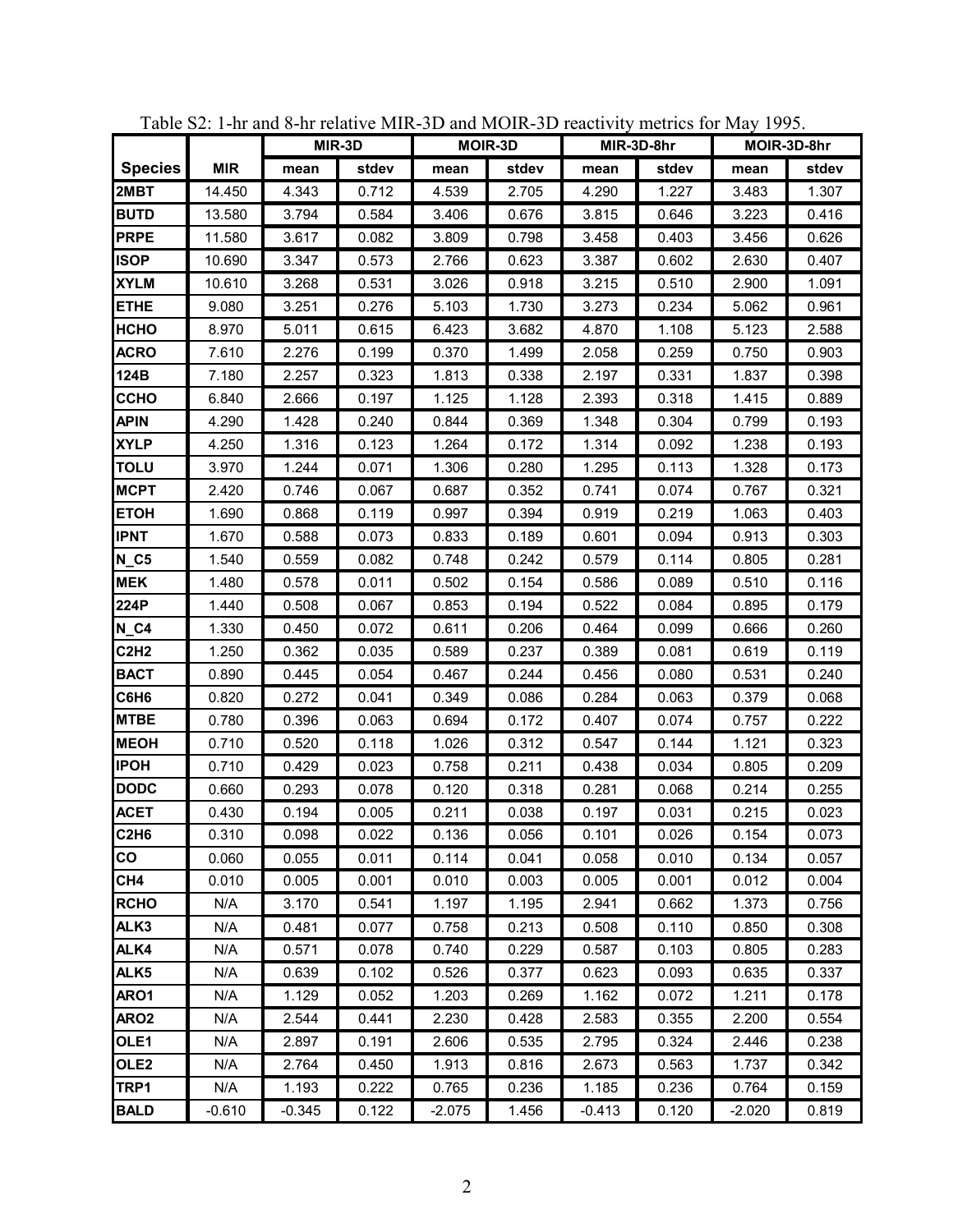|                |            | MIR-3D   |       |          | <b>MOIR-3D</b> |          | MIR-3D-8hr |          | MOIR-3D-8hr |
|----------------|------------|----------|-------|----------|----------------|----------|------------|----------|-------------|
| <b>Species</b> | <b>MIR</b> | mean     | stdev | mean     | stdev          | mean     | stdev      | mean     | stdev       |
| 2MBT           | 14.450     | 4.343    | 0.712 | 4.539    | 2.705          | 4.290    | 1.227      | 3.483    | 1.307       |
| <b>BUTD</b>    | 13.580     | 3.794    | 0.584 | 3.406    | 0.676          | 3.815    | 0.646      | 3.223    | 0.416       |
| <b>PRPE</b>    | 11.580     | 3.617    | 0.082 | 3.809    | 0.798          | 3.458    | 0.403      | 3.456    | 0.626       |
| <b>ISOP</b>    | 10.690     | 3.347    | 0.573 | 2.766    | 0.623          | 3.387    | 0.602      | 2.630    | 0.407       |
| <b>XYLM</b>    | 10.610     | 3.268    | 0.531 | 3.026    | 0.918          | 3.215    | 0.510      | 2.900    | 1.091       |
| <b>ETHE</b>    | 9.080      | 3.251    | 0.276 | 5.103    | 1.730          | 3.273    | 0.234      | 5.062    | 0.961       |
| нсно           | 8.970      | 5.011    | 0.615 | 6.423    | 3.682          | 4.870    | 1.108      | 5.123    | 2.588       |
| ACRO           | 7.610      | 2.276    | 0.199 | 0.370    | 1.499          | 2.058    | 0.259      | 0.750    | 0.903       |
| 124B           | 7.180      | 2.257    | 0.323 | 1.813    | 0.338          | 2.197    | 0.331      | 1.837    | 0.398       |
| ССНО           | 6.840      | 2.666    | 0.197 | 1.125    | 1.128          | 2.393    | 0.318      | 1.415    | 0.889       |
| <b>APIN</b>    | 4.290      | 1.428    | 0.240 | 0.844    | 0.369          | 1.348    | 0.304      | 0.799    | 0.193       |
| <b>XYLP</b>    | 4.250      | 1.316    | 0.123 | 1.264    | 0.172          | 1.314    | 0.092      | 1.238    | 0.193       |
| <b>TOLU</b>    | 3.970      | 1.244    | 0.071 | 1.306    | 0.280          | 1.295    | 0.113      | 1.328    | 0.173       |
| <b>MCPT</b>    | 2.420      | 0.746    | 0.067 | 0.687    | 0.352          | 0.741    | 0.074      | 0.767    | 0.321       |
| <b>ETOH</b>    | 1.690      | 0.868    | 0.119 | 0.997    | 0.394          | 0.919    | 0.219      | 1.063    | 0.403       |
| <b>IPNT</b>    | 1.670      | 0.588    | 0.073 | 0.833    | 0.189          | 0.601    | 0.094      | 0.913    | 0.303       |
| $N_C5$         | 1.540      | 0.559    | 0.082 | 0.748    | 0.242          | 0.579    | 0.114      | 0.805    | 0.281       |
| <b>MEK</b>     | 1.480      | 0.578    | 0.011 | 0.502    | 0.154          | 0.586    | 0.089      | 0.510    | 0.116       |
| 224P           | 1.440      | 0.508    | 0.067 | 0.853    | 0.194          | 0.522    | 0.084      | 0.895    | 0.179       |
| $N_G4$         | 1.330      | 0.450    | 0.072 | 0.611    | 0.206          | 0.464    | 0.099      | 0.666    | 0.260       |
| <b>C2H2</b>    | 1.250      | 0.362    | 0.035 | 0.589    | 0.237          | 0.389    | 0.081      | 0.619    | 0.119       |
| <b>BACT</b>    | 0.890      | 0.445    | 0.054 | 0.467    | 0.244          | 0.456    | 0.080      | 0.531    | 0.240       |
| C6H6           | 0.820      | 0.272    | 0.041 | 0.349    | 0.086          | 0.284    | 0.063      | 0.379    | 0.068       |
| <b>MTBE</b>    | 0.780      | 0.396    | 0.063 | 0.694    | 0.172          | 0.407    | 0.074      | 0.757    | 0.222       |
| <b>MEOH</b>    | 0.710      | 0.520    | 0.118 | 1.026    | 0.312          | 0.547    | 0.144      | 1.121    | 0.323       |
| <b>IPOH</b>    | 0.710      | 0.429    | 0.023 | 0.758    | 0.211          | 0.438    | 0.034      | 0.805    | 0.209       |
| <b>DODC</b>    | 0.660      | 0.293    | 0.078 | 0.120    | 0.318          | 0.281    | 0.068      | 0.214    | 0.255       |
| <b>ACET</b>    | 0.430      | 0.194    | 0.005 | 0.211    | 0.038          | 0.197    | 0.031      | 0.215    | 0.023       |
| C2H6           | 0.310      | 0.098    | 0.022 | 0.136    | 0.056          | 0.101    | 0.026      | 0.154    | 0.073       |
| CO             | 0.060      | 0.055    | 0.011 | 0.114    | 0.041          | 0.058    | 0.010      | 0.134    | 0.057       |
| CH4            | 0.010      | 0.005    | 0.001 | 0.010    | 0.003          | 0.005    | 0.001      | 0.012    | 0.004       |
| <b>RCHO</b>    | N/A        | 3.170    | 0.541 | 1.197    | 1.195          | 2.941    | 0.662      | 1.373    | 0.756       |
| ALK3           | N/A        | 0.481    | 0.077 | 0.758    | 0.213          | 0.508    | 0.110      | 0.850    | 0.308       |
| ALK4           | N/A        | 0.571    | 0.078 | 0.740    | 0.229          | 0.587    | 0.103      | 0.805    | 0.283       |
| ALK5           | N/A        | 0.639    | 0.102 | 0.526    | 0.377          | 0.623    | 0.093      | 0.635    | 0.337       |
| ARO1           | N/A        | 1.129    | 0.052 | 1.203    | 0.269          | 1.162    | 0.072      | 1.211    | 0.178       |
| ARO2           | N/A        | 2.544    | 0.441 | 2.230    | 0.428          | 2.583    | 0.355      | 2.200    | 0.554       |
| OLE1           | N/A        | 2.897    | 0.191 | 2.606    | 0.535          | 2.795    | 0.324      | 2.446    | 0.238       |
| OLE2           | N/A        | 2.764    | 0.450 | 1.913    | 0.816          | 2.673    | 0.563      | 1.737    | 0.342       |
| TRP1           | N/A        | 1.193    | 0.222 | 0.765    | 0.236          | 1.185    | 0.236      | 0.764    | 0.159       |
| <b>BALD</b>    | $-0.610$   | $-0.345$ | 0.122 | $-2.075$ | 1.456          | $-0.413$ | 0.120      | $-2.020$ | 0.819       |

Table S2: 1-hr and 8-hr relative MIR-3D and MOIR-3D reactivity metrics for May 1995.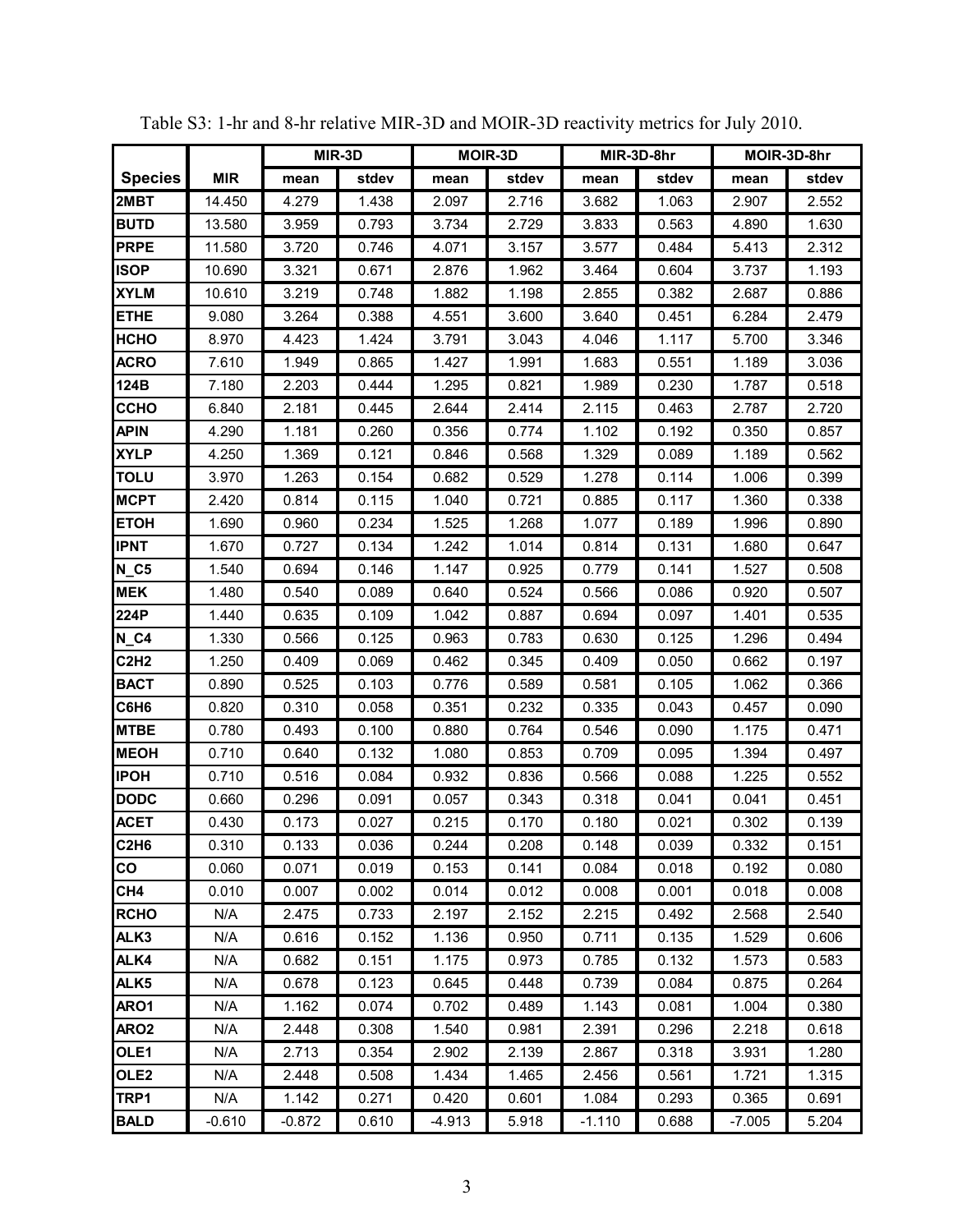|                               |            | MIR-3D   |       |          | <b>MOIR-3D</b> |          | MIR-3D-8hr |          | MOIR-3D-8hr |
|-------------------------------|------------|----------|-------|----------|----------------|----------|------------|----------|-------------|
| <b>Species</b>                | <b>MIR</b> | mean     | stdev | mean     | stdev          | mean     | stdev      | mean     | stdev       |
| 2MBT                          | 14.450     | 4.279    | 1.438 | 2.097    | 2.716          | 3.682    | 1.063      | 2.907    | 2.552       |
| <b>BUTD</b>                   | 13.580     | 3.959    | 0.793 | 3.734    | 2.729          | 3.833    | 0.563      | 4.890    | 1.630       |
| <b>PRPE</b>                   | 11.580     | 3.720    | 0.746 | 4.071    | 3.157          | 3.577    | 0.484      | 5.413    | 2.312       |
| <b>ISOP</b>                   | 10.690     | 3.321    | 0.671 | 2.876    | 1.962          | 3.464    | 0.604      | 3.737    | 1.193       |
| <b>XYLM</b>                   | 10.610     | 3.219    | 0.748 | 1.882    | 1.198          | 2.855    | 0.382      | 2.687    | 0.886       |
| <b>ETHE</b>                   | 9.080      | 3.264    | 0.388 | 4.551    | 3.600          | 3.640    | 0.451      | 6.284    | 2.479       |
| нсно                          | 8.970      | 4.423    | 1.424 | 3.791    | 3.043          | 4.046    | 1.117      | 5.700    | 3.346       |
| <b>ACRO</b>                   | 7.610      | 1.949    | 0.865 | 1.427    | 1.991          | 1.683    | 0.551      | 1.189    | 3.036       |
| 124B                          | 7.180      | 2.203    | 0.444 | 1.295    | 0.821          | 1.989    | 0.230      | 1.787    | 0.518       |
| ССНО                          | 6.840      | 2.181    | 0.445 | 2.644    | 2.414          | 2.115    | 0.463      | 2.787    | 2.720       |
| <b>APIN</b>                   | 4.290      | 1.181    | 0.260 | 0.356    | 0.774          | 1.102    | 0.192      | 0.350    | 0.857       |
| <b>XYLP</b>                   | 4.250      | 1.369    | 0.121 | 0.846    | 0.568          | 1.329    | 0.089      | 1.189    | 0.562       |
| <b>TOLU</b>                   | 3.970      | 1.263    | 0.154 | 0.682    | 0.529          | 1.278    | 0.114      | 1.006    | 0.399       |
| <b>MCPT</b>                   | 2.420      | 0.814    | 0.115 | 1.040    | 0.721          | 0.885    | 0.117      | 1.360    | 0.338       |
| <b>ETOH</b>                   | 1.690      | 0.960    | 0.234 | 1.525    | 1.268          | 1.077    | 0.189      | 1.996    | 0.890       |
| <b>IPNT</b>                   | 1.670      | 0.727    | 0.134 | 1.242    | 1.014          | 0.814    | 0.131      | 1.680    | 0.647       |
| $N_C5$                        | 1.540      | 0.694    | 0.146 | 1.147    | 0.925          | 0.779    | 0.141      | 1.527    | 0.508       |
| <b>MEK</b>                    | 1.480      | 0.540    | 0.089 | 0.640    | 0.524          | 0.566    | 0.086      | 0.920    | 0.507       |
| 224P                          | 1.440      | 0.635    | 0.109 | 1.042    | 0.887          | 0.694    | 0.097      | 1.401    | 0.535       |
| <b>N_C4</b>                   | 1.330      | 0.566    | 0.125 | 0.963    | 0.783          | 0.630    | 0.125      | 1.296    | 0.494       |
| <b>C2H2</b>                   | 1.250      | 0.409    | 0.069 | 0.462    | 0.345          | 0.409    | 0.050      | 0.662    | 0.197       |
| <b>BACT</b>                   | 0.890      | 0.525    | 0.103 | 0.776    | 0.589          | 0.581    | 0.105      | 1.062    | 0.366       |
| C6H6                          | 0.820      | 0.310    | 0.058 | 0.351    | 0.232          | 0.335    | 0.043      | 0.457    | 0.090       |
| <b>MTBE</b>                   | 0.780      | 0.493    | 0.100 | 0.880    | 0.764          | 0.546    | 0.090      | 1.175    | 0.471       |
| <b>MEOH</b>                   | 0.710      | 0.640    | 0.132 | 1.080    | 0.853          | 0.709    | 0.095      | 1.394    | 0.497       |
| <b>IPOH</b>                   | 0.710      | 0.516    | 0.084 | 0.932    | 0.836          | 0.566    | 0.088      | 1.225    | 0.552       |
| <b>DODC</b>                   | 0.660      | 0.296    | 0.091 | 0.057    | 0.343          | 0.318    | 0.041      | 0.041    | 0.451       |
| <b>ACET</b>                   | 0.430      | 0.173    | 0.027 | 0.215    | 0.170          | 0.180    | 0.021      | 0.302    | 0.139       |
| C <sub>2</sub> H <sub>6</sub> | 0.310      | 0.133    | 0.036 | 0.244    | 0.208          | 0.148    | 0.039      | 0.332    | 0.151       |
| CO                            | 0.060      | 0.071    | 0.019 | 0.153    | 0.141          | 0.084    | 0.018      | 0.192    | 0.080       |
| CH4                           | 0.010      | 0.007    | 0.002 | 0.014    | 0.012          | 0.008    | 0.001      | 0.018    | 0.008       |
| <b>RCHO</b>                   | N/A        | 2.475    | 0.733 | 2.197    | 2.152          | 2.215    | 0.492      | 2.568    | 2.540       |
| ALK3                          | N/A        | 0.616    | 0.152 | 1.136    | 0.950          | 0.711    | 0.135      | 1.529    | 0.606       |
| ALK4                          | N/A        | 0.682    | 0.151 | 1.175    | 0.973          | 0.785    | 0.132      | 1.573    | 0.583       |
| ALK5                          | N/A        | 0.678    | 0.123 | 0.645    | 0.448          | 0.739    | 0.084      | 0.875    | 0.264       |
| ARO1                          | N/A        | 1.162    | 0.074 | 0.702    | 0.489          | 1.143    | 0.081      | 1.004    | 0.380       |
| ARO <sub>2</sub>              | N/A        | 2.448    | 0.308 | 1.540    | 0.981          | 2.391    | 0.296      | 2.218    | 0.618       |
| OLE1                          | N/A        | 2.713    | 0.354 | 2.902    | 2.139          | 2.867    | 0.318      | 3.931    | 1.280       |
| OLE <sub>2</sub>              | N/A        | 2.448    | 0.508 | 1.434    | 1.465          | 2.456    | 0.561      | 1.721    | 1.315       |
| TRP1                          | N/A        | 1.142    | 0.271 | 0.420    | 0.601          | 1.084    | 0.293      | 0.365    | 0.691       |
| <b>BALD</b>                   | $-0.610$   | $-0.872$ | 0.610 | $-4.913$ | 5.918          | $-1.110$ | 0.688      | $-7.005$ | 5.204       |

Table S3: 1-hr and 8-hr relative MIR-3D and MOIR-3D reactivity metrics for July 2010.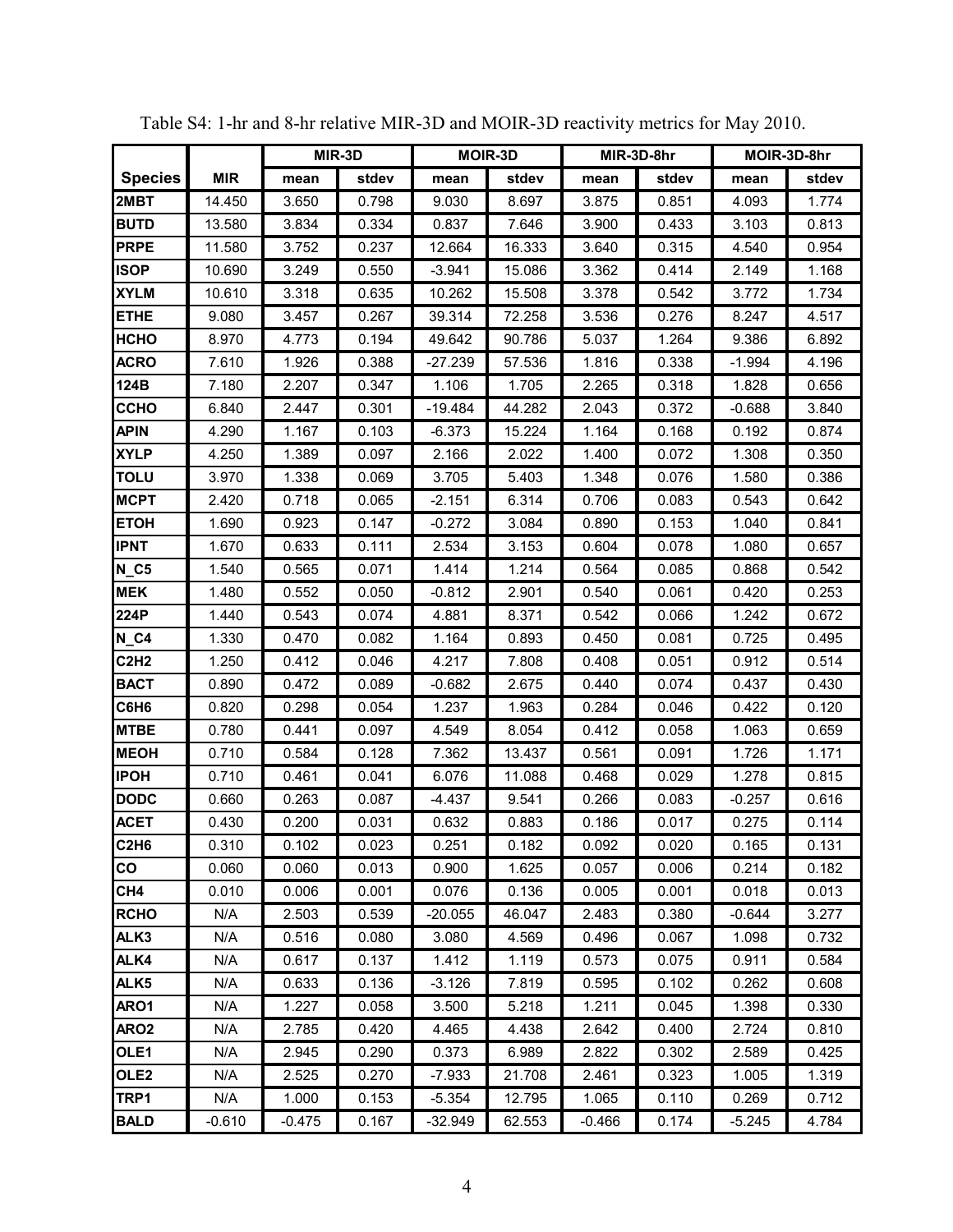|                               |            |          | MIR-3D |           | <b>MOIR-3D</b> |          | MIR-3D-8hr |          | MOIR-3D-8hr |
|-------------------------------|------------|----------|--------|-----------|----------------|----------|------------|----------|-------------|
| <b>Species</b>                | <b>MIR</b> | mean     | stdev  | mean      | stdev          | mean     | stdev      | mean     | stdev       |
| 2MBT                          | 14.450     | 3.650    | 0.798  | 9.030     | 8.697          | 3.875    | 0.851      | 4.093    | 1.774       |
| <b>BUTD</b>                   | 13.580     | 3.834    | 0.334  | 0.837     | 7.646          | 3.900    | 0.433      | 3.103    | 0.813       |
| <b>PRPE</b>                   | 11.580     | 3.752    | 0.237  | 12.664    | 16.333         | 3.640    | 0.315      | 4.540    | 0.954       |
| <b>ISOP</b>                   | 10.690     | 3.249    | 0.550  | $-3.941$  | 15.086         | 3.362    | 0.414      | 2.149    | 1.168       |
| <b>XYLM</b>                   | 10.610     | 3.318    | 0.635  | 10.262    | 15.508         | 3.378    | 0.542      | 3.772    | 1.734       |
| <b>ETHE</b>                   | 9.080      | 3.457    | 0.267  | 39.314    | 72.258         | 3.536    | 0.276      | 8.247    | 4.517       |
| <b>HCHO</b>                   | 8.970      | 4.773    | 0.194  | 49.642    | 90.786         | 5.037    | 1.264      | 9.386    | 6.892       |
| <b>ACRO</b>                   | 7.610      | 1.926    | 0.388  | $-27.239$ | 57.536         | 1.816    | 0.338      | $-1.994$ | 4.196       |
| 124B                          | 7.180      | 2.207    | 0.347  | 1.106     | 1.705          | 2.265    | 0.318      | 1.828    | 0.656       |
| <b>CCHO</b>                   | 6.840      | 2.447    | 0.301  | $-19.484$ | 44.282         | 2.043    | 0.372      | $-0.688$ | 3.840       |
| <b>APIN</b>                   | 4.290      | 1.167    | 0.103  | $-6.373$  | 15.224         | 1.164    | 0.168      | 0.192    | 0.874       |
| <b>XYLP</b>                   | 4.250      | 1.389    | 0.097  | 2.166     | 2.022          | 1.400    | 0.072      | 1.308    | 0.350       |
| <b>TOLU</b>                   | 3.970      | 1.338    | 0.069  | 3.705     | 5.403          | 1.348    | 0.076      | 1.580    | 0.386       |
| <b>MCPT</b>                   | 2.420      | 0.718    | 0.065  | $-2.151$  | 6.314          | 0.706    | 0.083      | 0.543    | 0.642       |
| <b>ETOH</b>                   | 1.690      | 0.923    | 0.147  | $-0.272$  | 3.084          | 0.890    | 0.153      | 1.040    | 0.841       |
| <b>IPNT</b>                   | 1.670      | 0.633    | 0.111  | 2.534     | 3.153          | 0.604    | 0.078      | 1.080    | 0.657       |
| $N_{C5}$                      | 1.540      | 0.565    | 0.071  | 1.414     | 1.214          | 0.564    | 0.085      | 0.868    | 0.542       |
| <b>MEK</b>                    | 1.480      | 0.552    | 0.050  | $-0.812$  | 2.901          | 0.540    | 0.061      | 0.420    | 0.253       |
| 224P                          | 1.440      | 0.543    | 0.074  | 4.881     | 8.371          | 0.542    | 0.066      | 1.242    | 0.672       |
| $N_C4$                        | 1.330      | 0.470    | 0.082  | 1.164     | 0.893          | 0.450    | 0.081      | 0.725    | 0.495       |
| <b>C2H2</b>                   | 1.250      | 0.412    | 0.046  | 4.217     | 7.808          | 0.408    | 0.051      | 0.912    | 0.514       |
| <b>BACT</b>                   | 0.890      | 0.472    | 0.089  | $-0.682$  | 2.675          | 0.440    | 0.074      | 0.437    | 0.430       |
| C6H6                          | 0.820      | 0.298    | 0.054  | 1.237     | 1.963          | 0.284    | 0.046      | 0.422    | 0.120       |
| <b>MTBE</b>                   | 0.780      | 0.441    | 0.097  | 4.549     | 8.054          | 0.412    | 0.058      | 1.063    | 0.659       |
| <b>MEOH</b>                   | 0.710      | 0.584    | 0.128  | 7.362     | 13.437         | 0.561    | 0.091      | 1.726    | 1.171       |
| <b>IPOH</b>                   | 0.710      | 0.461    | 0.041  | 6.076     | 11.088         | 0.468    | 0.029      | 1.278    | 0.815       |
| <b>DODC</b>                   | 0.660      | 0.263    | 0.087  | $-4.437$  | 9.541          | 0.266    | 0.083      | $-0.257$ | 0.616       |
| <b>ACET</b>                   | 0.430      | 0.200    | 0.031  | 0.632     | 0.883          | 0.186    | 0.017      | 0.275    | 0.114       |
| C <sub>2</sub> H <sub>6</sub> | 0.310      | 0.102    | 0.023  | 0.251     | 0.182          | 0.092    | 0.020      | 0.165    | 0.131       |
| CO                            | 0.060      | 0.060    | 0.013  | 0.900     | 1.625          | 0.057    | 0.006      | 0.214    | 0.182       |
| CH4                           | 0.010      | 0.006    | 0.001  | 0.076     | 0.136          | 0.005    | 0.001      | 0.018    | 0.013       |
| <b>RCHO</b>                   | N/A        | 2.503    | 0.539  | $-20.055$ | 46.047         | 2.483    | 0.380      | $-0.644$ | 3.277       |
| ALK3                          | N/A        | 0.516    | 0.080  | 3.080     | 4.569          | 0.496    | 0.067      | 1.098    | 0.732       |
| ALK4                          | N/A        | 0.617    | 0.137  | 1.412     | 1.119          | 0.573    | 0.075      | 0.911    | 0.584       |
| ALK5                          | N/A        | 0.633    | 0.136  | $-3.126$  | 7.819          | 0.595    | 0.102      | 0.262    | 0.608       |
| ARO1                          | N/A        | 1.227    | 0.058  | 3.500     | 5.218          | 1.211    | 0.045      | 1.398    | 0.330       |
| ARO2                          | N/A        | 2.785    | 0.420  | 4.465     | 4.438          | 2.642    | 0.400      | 2.724    | 0.810       |
| OLE1                          | N/A        | 2.945    | 0.290  | 0.373     | 6.989          | 2.822    | 0.302      | 2.589    | 0.425       |
| OLE <sub>2</sub>              | N/A        | 2.525    | 0.270  | $-7.933$  | 21.708         | 2.461    | 0.323      | 1.005    | 1.319       |
| TRP1                          | N/A        | 1.000    | 0.153  | $-5.354$  | 12.795         | 1.065    | 0.110      | 0.269    | 0.712       |
| <b>BALD</b>                   | $-0.610$   | $-0.475$ | 0.167  | $-32.949$ | 62.553         | $-0.466$ | 0.174      | $-5.245$ | 4.784       |

Table S4: 1-hr and 8-hr relative MIR-3D and MOIR-3D reactivity metrics for May 2010.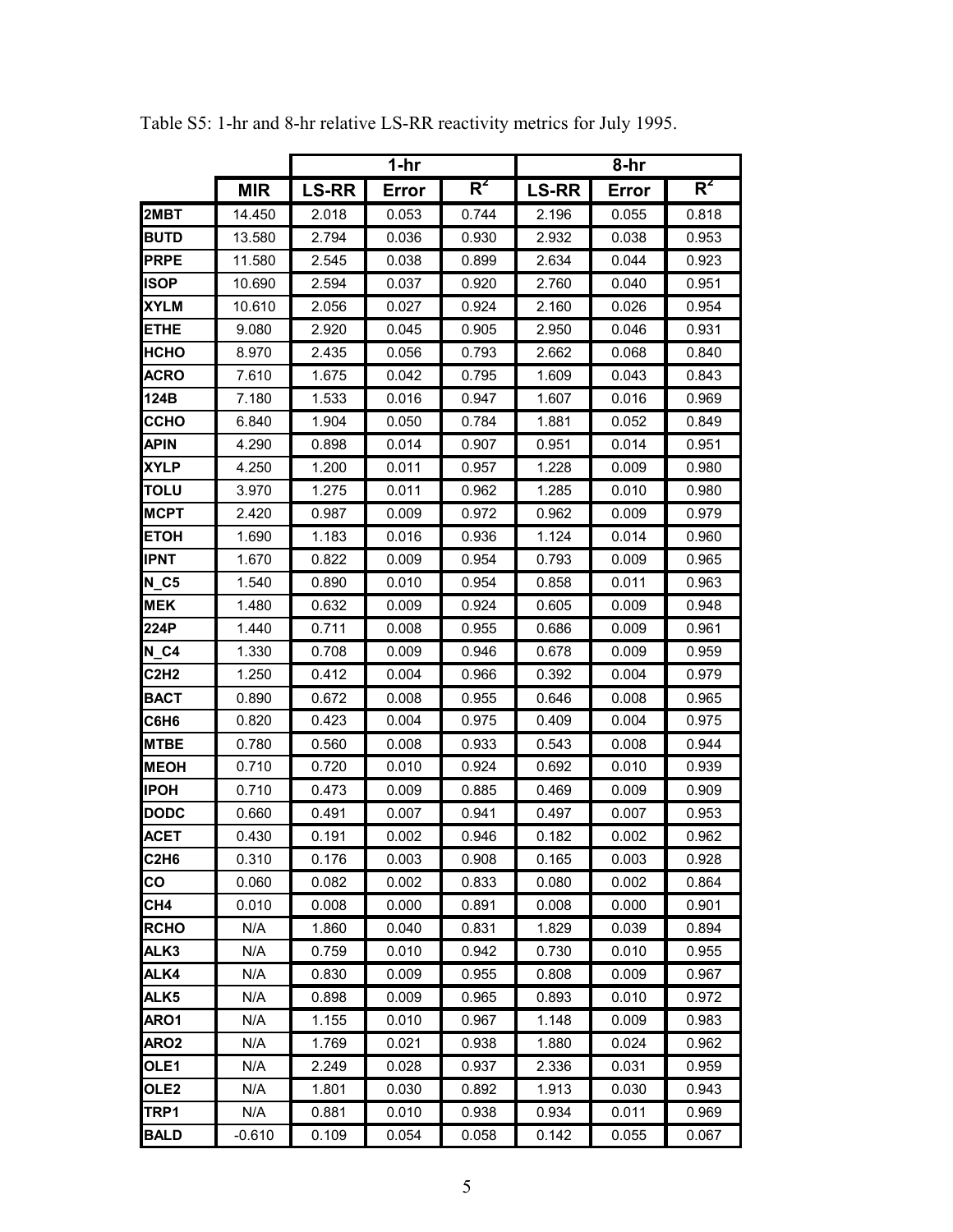|                               |            |              | $1-hr$ |       | 8-hr         |       |       |  |
|-------------------------------|------------|--------------|--------|-------|--------------|-------|-------|--|
|                               | <b>MIR</b> | <b>LS-RR</b> | Error  | $R^2$ | <b>LS-RR</b> | Error | $R^2$ |  |
| 2MBT                          | 14.450     | 2.018        | 0.053  | 0.744 | 2.196        | 0.055 | 0.818 |  |
| <b>BUTD</b>                   | 13.580     | 2.794        | 0.036  | 0.930 | 2.932        | 0.038 | 0.953 |  |
| <b>PRPE</b>                   | 11.580     | 2.545        | 0.038  | 0.899 | 2.634        | 0.044 | 0.923 |  |
| <b>ISOP</b>                   | 10.690     | 2.594        | 0.037  | 0.920 | 2.760        | 0.040 | 0.951 |  |
| <b>XYLM</b>                   | 10.610     | 2.056        | 0.027  | 0.924 | 2.160        | 0.026 | 0.954 |  |
| ETHE                          | 9.080      | 2.920        | 0.045  | 0.905 | 2.950        | 0.046 | 0.931 |  |
| НСНО                          | 8.970      | 2.435        | 0.056  | 0.793 | 2.662        | 0.068 | 0.840 |  |
| <b>ACRO</b>                   | 7.610      | 1.675        | 0.042  | 0.795 | 1.609        | 0.043 | 0.843 |  |
| 124B                          | 7.180      | 1.533        | 0.016  | 0.947 | 1.607        | 0.016 | 0.969 |  |
| ССНО                          | 6.840      | 1.904        | 0.050  | 0.784 | 1.881        | 0.052 | 0.849 |  |
| <b>APIN</b>                   | 4.290      | 0.898        | 0.014  | 0.907 | 0.951        | 0.014 | 0.951 |  |
| XYLP                          | 4.250      | 1.200        | 0.011  | 0.957 | 1.228        | 0.009 | 0.980 |  |
| TOLU                          | 3.970      | 1.275        | 0.011  | 0.962 | 1.285        | 0.010 | 0.980 |  |
| <b>MCPT</b>                   | 2.420      | 0.987        | 0.009  | 0.972 | 0.962        | 0.009 | 0.979 |  |
| <b>ETOH</b>                   | 1.690      | 1.183        | 0.016  | 0.936 | 1.124        | 0.014 | 0.960 |  |
| <b>IPNT</b>                   | 1.670      | 0.822        | 0.009  | 0.954 | 0.793        | 0.009 | 0.965 |  |
| $N_{C5}$                      | 1.540      | 0.890        | 0.010  | 0.954 | 0.858        | 0.011 | 0.963 |  |
| <b>MEK</b>                    | 1.480      | 0.632        | 0.009  | 0.924 | 0.605        | 0.009 | 0.948 |  |
| 224P                          | 1.440      | 0.711        | 0.008  | 0.955 | 0.686        | 0.009 | 0.961 |  |
| <b>N C4</b>                   | 1.330      | 0.708        | 0.009  | 0.946 | 0.678        | 0.009 | 0.959 |  |
| <b>C2H2</b>                   | 1.250      | 0.412        | 0.004  | 0.966 | 0.392        | 0.004 | 0.979 |  |
| <b>BACT</b>                   | 0.890      | 0.672        | 0.008  | 0.955 | 0.646        | 0.008 | 0.965 |  |
| C6H6                          | 0.820      | 0.423        | 0.004  | 0.975 | 0.409        | 0.004 | 0.975 |  |
| <b>MTBE</b>                   | 0.780      | 0.560        | 0.008  | 0.933 | 0.543        | 0.008 | 0.944 |  |
| <b>MEOH</b>                   | 0.710      | 0.720        | 0.010  | 0.924 | 0.692        | 0.010 | 0.939 |  |
| <b>IPOH</b>                   | 0.710      | 0.473        | 0.009  | 0.885 | 0.469        | 0.009 | 0.909 |  |
| <b>DODC</b>                   | 0.660      | 0.491        | 0.007  | 0.941 | 0.497        | 0.007 | 0.953 |  |
| <b>ACET</b>                   | 0.430      | 0.191        | 0.002  | 0.946 | 0.182        | 0.002 | 0.962 |  |
| C <sub>2</sub> H <sub>6</sub> | 0.310      | 0.176        | 0.003  | 0.908 | 0.165        | 0.003 | 0.928 |  |
| CO                            | 0.060      | 0.082        | 0.002  | 0.833 | 0.080        | 0.002 | 0.864 |  |
| CH4                           | 0.010      | 0.008        | 0.000  | 0.891 | 0.008        | 0.000 | 0.901 |  |
| <b>RCHO</b>                   | N/A        | 1.860        | 0.040  | 0.831 | 1.829        | 0.039 | 0.894 |  |
| ALK3                          | N/A        | 0.759        | 0.010  | 0.942 | 0.730        | 0.010 | 0.955 |  |
| ALK4                          | N/A        | 0.830        | 0.009  | 0.955 | 0.808        | 0.009 | 0.967 |  |
| ALK <sub>5</sub>              | N/A        | 0.898        | 0.009  | 0.965 | 0.893        | 0.010 | 0.972 |  |
| ARO1                          | N/A        | 1.155        | 0.010  | 0.967 | 1.148        | 0.009 | 0.983 |  |
| ARO <sub>2</sub>              | N/A        | 1.769        | 0.021  | 0.938 | 1.880        | 0.024 | 0.962 |  |
| OLE1                          | N/A        | 2.249        | 0.028  | 0.937 | 2.336        | 0.031 | 0.959 |  |
| OLE <sub>2</sub>              | N/A        | 1.801        | 0.030  | 0.892 | 1.913        | 0.030 | 0.943 |  |
| TRP1                          | N/A        | 0.881        | 0.010  | 0.938 | 0.934        | 0.011 | 0.969 |  |
| <b>BALD</b>                   | $-0.610$   | 0.109        | 0.054  | 0.058 | 0.142        | 0.055 | 0.067 |  |

Table S5: 1-hr and 8-hr relative LS-RR reactivity metrics for July 1995.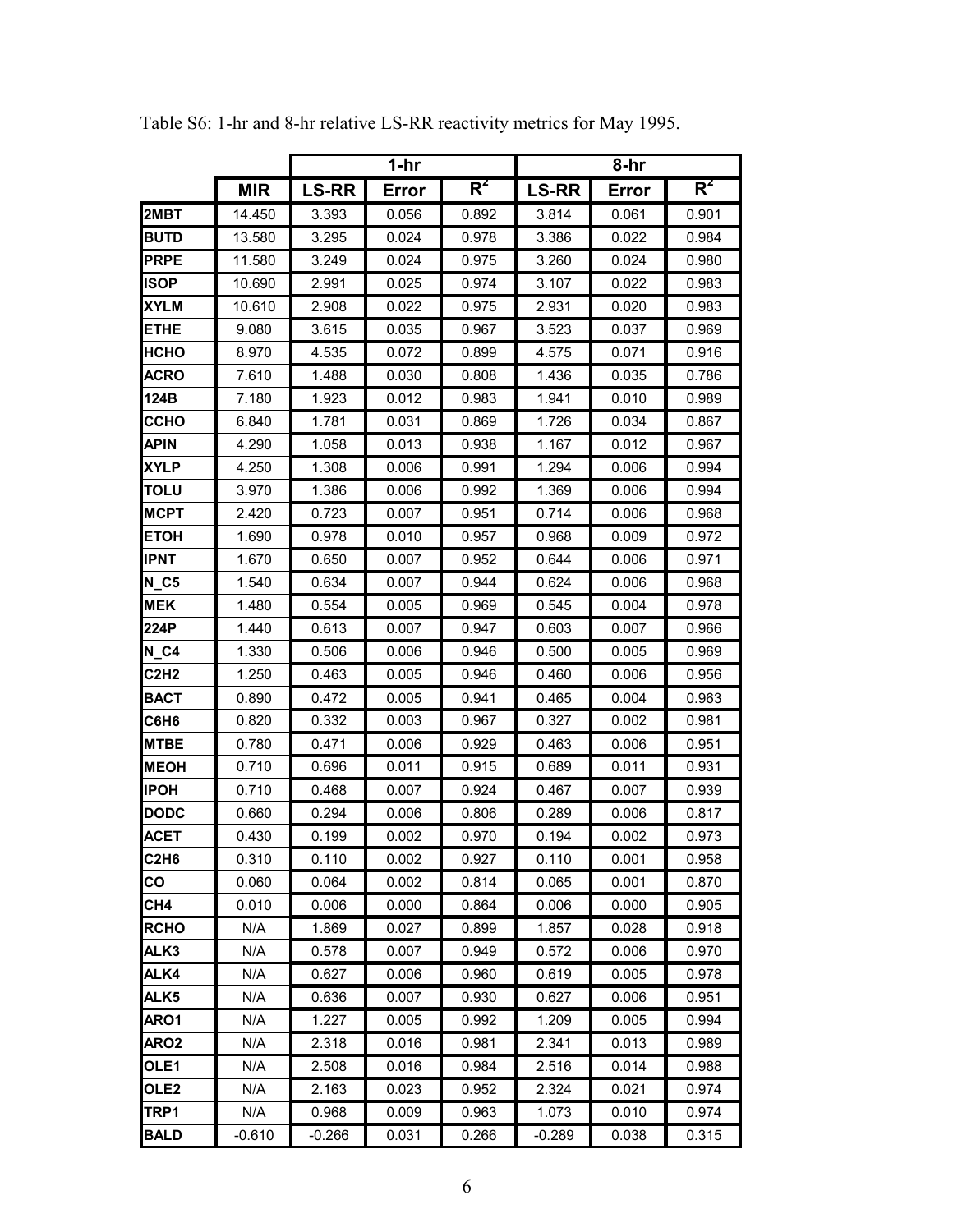|                               |            |              | $1-hr$       |       | 8-hr         |       |       |  |
|-------------------------------|------------|--------------|--------------|-------|--------------|-------|-------|--|
|                               | <b>MIR</b> | <b>LS-RR</b> | <b>Error</b> | $R^2$ | <b>LS-RR</b> | Error | $R^2$ |  |
| 2MBT                          | 14.450     | 3.393        | 0.056        | 0.892 | 3.814        | 0.061 | 0.901 |  |
| <b>BUTD</b>                   | 13.580     | 3.295        | 0.024        | 0.978 | 3.386        | 0.022 | 0.984 |  |
| <b>PRPE</b>                   | 11.580     | 3.249        | 0.024        | 0.975 | 3.260        | 0.024 | 0.980 |  |
| ISOP                          | 10.690     | 2.991        | 0.025        | 0.974 | 3.107        | 0.022 | 0.983 |  |
| <b>XYLM</b>                   | 10.610     | 2.908        | 0.022        | 0.975 | 2.931        | 0.020 | 0.983 |  |
| <b>ETHE</b>                   | 9.080      | 3.615        | 0.035        | 0.967 | 3.523        | 0.037 | 0.969 |  |
| нсно                          | 8.970      | 4.535        | 0.072        | 0.899 | 4.575        | 0.071 | 0.916 |  |
| <b>ACRO</b>                   | 7.610      | 1.488        | 0.030        | 0.808 | 1.436        | 0.035 | 0.786 |  |
| 124B                          | 7.180      | 1.923        | 0.012        | 0.983 | 1.941        | 0.010 | 0.989 |  |
| ССНО                          | 6.840      | 1.781        | 0.031        | 0.869 | 1.726        | 0.034 | 0.867 |  |
| <b>APIN</b>                   | 4.290      | 1.058        | 0.013        | 0.938 | 1.167        | 0.012 | 0.967 |  |
| XYLP                          | 4.250      | 1.308        | 0.006        | 0.991 | 1.294        | 0.006 | 0.994 |  |
| TOLU                          | 3.970      | 1.386        | 0.006        | 0.992 | 1.369        | 0.006 | 0.994 |  |
| <b>MCPT</b>                   | 2.420      | 0.723        | 0.007        | 0.951 | 0.714        | 0.006 | 0.968 |  |
| <b>ETOH</b>                   | 1.690      | 0.978        | 0.010        | 0.957 | 0.968        | 0.009 | 0.972 |  |
| <b>IPNT</b>                   | 1.670      | 0.650        | 0.007        | 0.952 | 0.644        | 0.006 | 0.971 |  |
| $N_{C}$ 5                     | 1.540      | 0.634        | 0.007        | 0.944 | 0.624        | 0.006 | 0.968 |  |
| <b>MEK</b>                    | 1.480      | 0.554        | 0.005        | 0.969 | 0.545        | 0.004 | 0.978 |  |
| 224P                          | 1.440      | 0.613        | 0.007        | 0.947 | 0.603        | 0.007 | 0.966 |  |
| $N_G4$                        | 1.330      | 0.506        | 0.006        | 0.946 | 0.500        | 0.005 | 0.969 |  |
| <b>C2H2</b>                   | 1.250      | 0.463        | 0.005        | 0.946 | 0.460        | 0.006 | 0.956 |  |
| <b>BACT</b>                   | 0.890      | 0.472        | 0.005        | 0.941 | 0.465        | 0.004 | 0.963 |  |
| C6H6                          | 0.820      | 0.332        | 0.003        | 0.967 | 0.327        | 0.002 | 0.981 |  |
| <b>MTBE</b>                   | 0.780      | 0.471        | 0.006        | 0.929 | 0.463        | 0.006 | 0.951 |  |
| <b>MEOH</b>                   | 0.710      | 0.696        | 0.011        | 0.915 | 0.689        | 0.011 | 0.931 |  |
| IPOH                          | 0.710      | 0.468        | 0.007        | 0.924 | 0.467        | 0.007 | 0.939 |  |
| <b>DODC</b>                   | 0.660      | 0.294        | 0.006        | 0.806 | 0.289        | 0.006 | 0.817 |  |
| <b>ACET</b>                   | 0.430      | 0.199        | 0.002        | 0.970 | 0.194        | 0.002 | 0.973 |  |
| C <sub>2</sub> H <sub>6</sub> | 0.310      | 0.110        | 0.002        | 0.927 | 0.110        | 0.001 | 0.958 |  |
| CO                            | 0.060      | 0.064        | 0.002        | 0.814 | 0.065        | 0.001 | 0.870 |  |
| CH4                           | 0.010      | 0.006        | 0.000        | 0.864 | 0.006        | 0.000 | 0.905 |  |
| <b>RCHO</b>                   | N/A        | 1.869        | 0.027        | 0.899 | 1.857        | 0.028 | 0.918 |  |
| ALK3                          | N/A        | 0.578        | 0.007        | 0.949 | 0.572        | 0.006 | 0.970 |  |
| ALK4                          | N/A        | 0.627        | 0.006        | 0.960 | 0.619        | 0.005 | 0.978 |  |
| ALK5                          | N/A        | 0.636        | 0.007        | 0.930 | 0.627        | 0.006 | 0.951 |  |
| ARO1                          | N/A        | 1.227        | 0.005        | 0.992 | 1.209        | 0.005 | 0.994 |  |
| ARO <sub>2</sub>              | N/A        | 2.318        | 0.016        | 0.981 | 2.341        | 0.013 | 0.989 |  |
| OLE1                          | N/A        | 2.508        | 0.016        | 0.984 | 2.516        | 0.014 | 0.988 |  |
| OLE <sub>2</sub>              | N/A        | 2.163        | 0.023        | 0.952 | 2.324        | 0.021 | 0.974 |  |
| TRP1                          | N/A        | 0.968        | 0.009        | 0.963 | 1.073        | 0.010 | 0.974 |  |
| <b>BALD</b>                   | $-0.610$   | $-0.266$     | 0.031        | 0.266 | $-0.289$     | 0.038 | 0.315 |  |

Table S6: 1-hr and 8-hr relative LS-RR reactivity metrics for May 1995.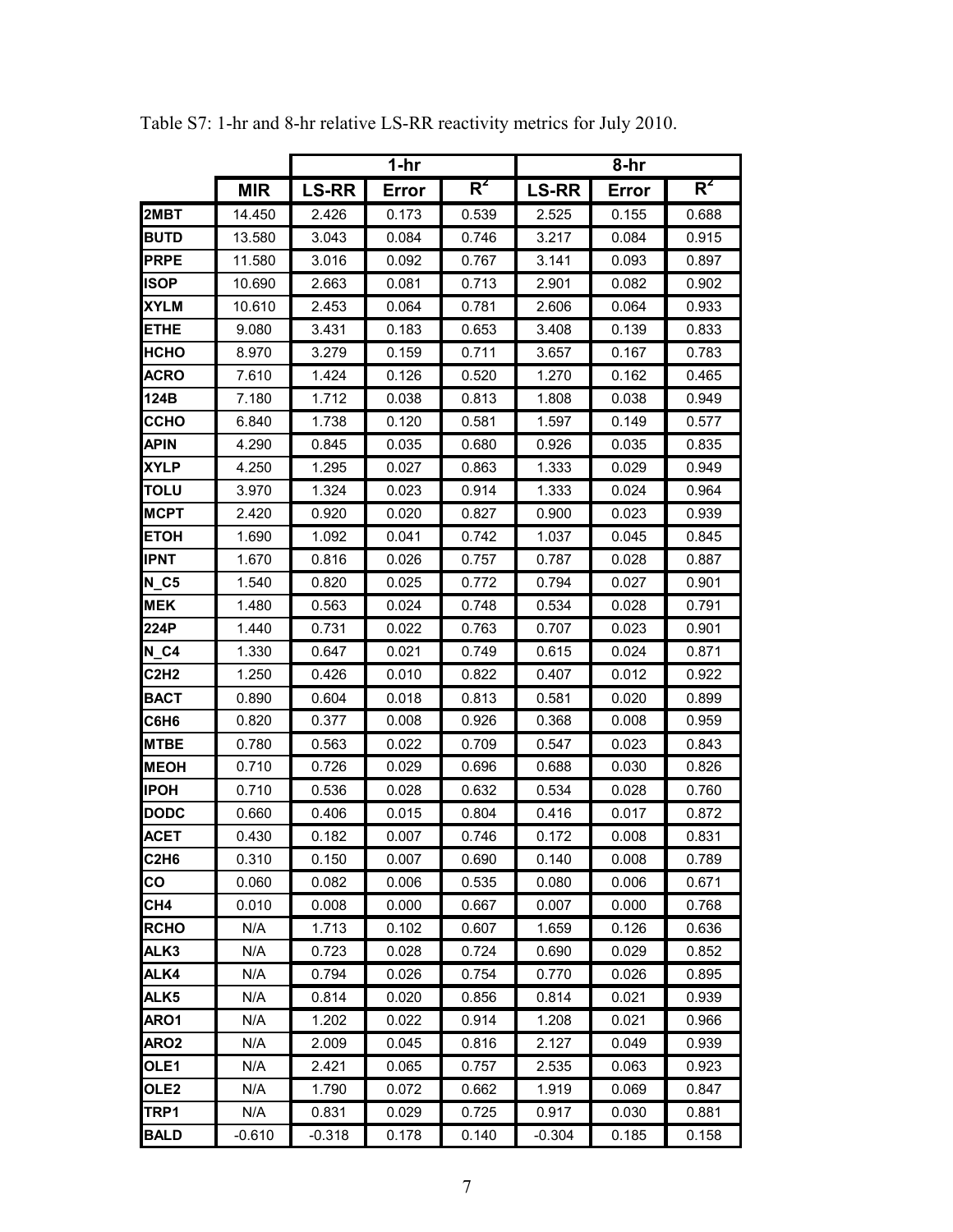|                               |            |              | $1-hr$ |       | 8-hr         |       |       |  |
|-------------------------------|------------|--------------|--------|-------|--------------|-------|-------|--|
|                               | <b>MIR</b> | <b>LS-RR</b> | Error  | $R^2$ | <b>LS-RR</b> | Error | $R^2$ |  |
| 2MBT                          | 14.450     | 2.426        | 0.173  | 0.539 | 2.525        | 0.155 | 0.688 |  |
| <b>BUTD</b>                   | 13.580     | 3.043        | 0.084  | 0.746 | 3.217        | 0.084 | 0.915 |  |
| <b>PRPE</b>                   | 11.580     | 3.016        | 0.092  | 0.767 | 3.141        | 0.093 | 0.897 |  |
| ISOP                          | 10.690     | 2.663        | 0.081  | 0.713 | 2.901        | 0.082 | 0.902 |  |
| <b>XYLM</b>                   | 10.610     | 2.453        | 0.064  | 0.781 | 2.606        | 0.064 | 0.933 |  |
| ETHE                          | 9.080      | 3.431        | 0.183  | 0.653 | 3.408        | 0.139 | 0.833 |  |
| нсно                          | 8.970      | 3.279        | 0.159  | 0.711 | 3.657        | 0.167 | 0.783 |  |
| <b>ACRO</b>                   | 7.610      | 1.424        | 0.126  | 0.520 | 1.270        | 0.162 | 0.465 |  |
| 124B                          | 7.180      | 1.712        | 0.038  | 0.813 | 1.808        | 0.038 | 0.949 |  |
| ССНО                          | 6.840      | 1.738        | 0.120  | 0.581 | 1.597        | 0.149 | 0.577 |  |
| <b>APIN</b>                   | 4.290      | 0.845        | 0.035  | 0.680 | 0.926        | 0.035 | 0.835 |  |
| XYLP                          | 4.250      | 1.295        | 0.027  | 0.863 | 1.333        | 0.029 | 0.949 |  |
| TOLU                          | 3.970      | 1.324        | 0.023  | 0.914 | 1.333        | 0.024 | 0.964 |  |
| <b>MCPT</b>                   | 2.420      | 0.920        | 0.020  | 0.827 | 0.900        | 0.023 | 0.939 |  |
| <b>ETOH</b>                   | 1.690      | 1.092        | 0.041  | 0.742 | 1.037        | 0.045 | 0.845 |  |
| <b>IPNT</b>                   | 1.670      | 0.816        | 0.026  | 0.757 | 0.787        | 0.028 | 0.887 |  |
| $N_{C5}$                      | 1.540      | 0.820        | 0.025  | 0.772 | 0.794        | 0.027 | 0.901 |  |
| <b>MEK</b>                    | 1.480      | 0.563        | 0.024  | 0.748 | 0.534        | 0.028 | 0.791 |  |
| 224P                          | 1.440      | 0.731        | 0.022  | 0.763 | 0.707        | 0.023 | 0.901 |  |
| <b>N C4</b>                   | 1.330      | 0.647        | 0.021  | 0.749 | 0.615        | 0.024 | 0.871 |  |
| <b>C2H2</b>                   | 1.250      | 0.426        | 0.010  | 0.822 | 0.407        | 0.012 | 0.922 |  |
| <b>BACT</b>                   | 0.890      | 0.604        | 0.018  | 0.813 | 0.581        | 0.020 | 0.899 |  |
| C6H6                          | 0.820      | 0.377        | 0.008  | 0.926 | 0.368        | 0.008 | 0.959 |  |
| <b>MTBE</b>                   | 0.780      | 0.563        | 0.022  | 0.709 | 0.547        | 0.023 | 0.843 |  |
| <b>MEOH</b>                   | 0.710      | 0.726        | 0.029  | 0.696 | 0.688        | 0.030 | 0.826 |  |
| IPOH                          | 0.710      | 0.536        | 0.028  | 0.632 | 0.534        | 0.028 | 0.760 |  |
| <b>DODC</b>                   | 0.660      | 0.406        | 0.015  | 0.804 | 0.416        | 0.017 | 0.872 |  |
| <b>ACET</b>                   | 0.430      | 0.182        | 0.007  | 0.746 | 0.172        | 0.008 | 0.831 |  |
| C <sub>2</sub> H <sub>6</sub> | 0.310      | 0.150        | 0.007  | 0.690 | 0.140        | 0.008 | 0.789 |  |
| CO                            | 0.060      | 0.082        | 0.006  | 0.535 | 0.080        | 0.006 | 0.671 |  |
| CH4                           | 0.010      | 0.008        | 0.000  | 0.667 | 0.007        | 0.000 | 0.768 |  |
| <b>RCHO</b>                   | N/A        | 1.713        | 0.102  | 0.607 | 1.659        | 0.126 | 0.636 |  |
| ALK3                          | N/A        | 0.723        | 0.028  | 0.724 | 0.690        | 0.029 | 0.852 |  |
| ALK4                          | N/A        | 0.794        | 0.026  | 0.754 | 0.770        | 0.026 | 0.895 |  |
| ALK5                          | N/A        | 0.814        | 0.020  | 0.856 | 0.814        | 0.021 | 0.939 |  |
| ARO1                          | N/A        | 1.202        | 0.022  | 0.914 | 1.208        | 0.021 | 0.966 |  |
| ARO <sub>2</sub>              | N/A        | 2.009        | 0.045  | 0.816 | 2.127        | 0.049 | 0.939 |  |
| OLE1                          | N/A        | 2.421        | 0.065  | 0.757 | 2.535        | 0.063 | 0.923 |  |
| OLE <sub>2</sub>              | N/A        | 1.790        | 0.072  | 0.662 | 1.919        | 0.069 | 0.847 |  |
| TRP1                          | N/A        | 0.831        | 0.029  | 0.725 | 0.917        | 0.030 | 0.881 |  |
| <b>BALD</b>                   | $-0.610$   | $-0.318$     | 0.178  | 0.140 | $-0.304$     | 0.185 | 0.158 |  |

Table S7: 1-hr and 8-hr relative LS-RR reactivity metrics for July 2010.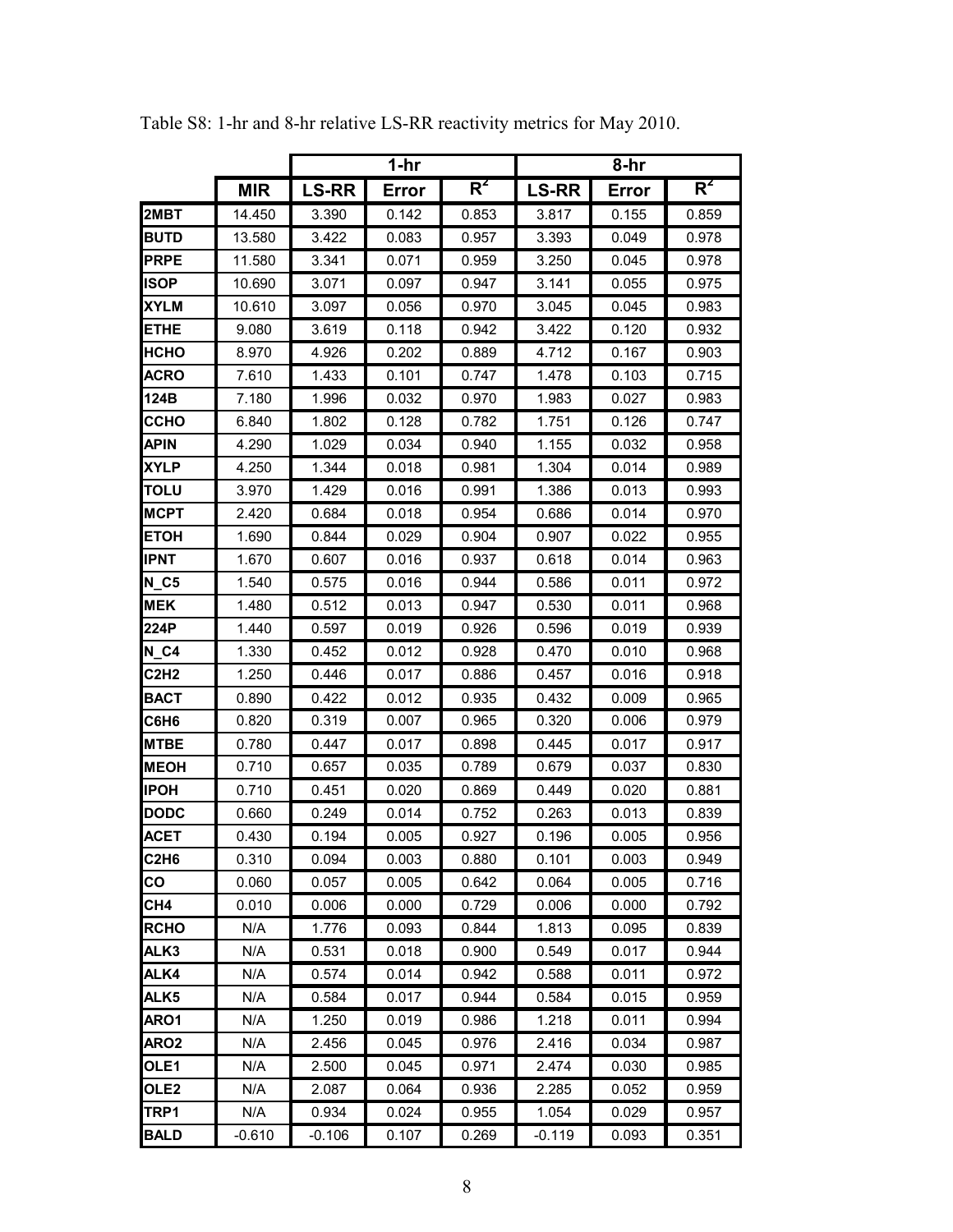|                               |            |              | $1-hr$ |       | 8-hr         |       |       |  |
|-------------------------------|------------|--------------|--------|-------|--------------|-------|-------|--|
|                               | <b>MIR</b> | <b>LS-RR</b> | Error  | $R^2$ | <b>LS-RR</b> | Error | $R^2$ |  |
| 2MBT                          | 14.450     | 3.390        | 0.142  | 0.853 | 3.817        | 0.155 | 0.859 |  |
| <b>BUTD</b>                   | 13.580     | 3.422        | 0.083  | 0.957 | 3.393        | 0.049 | 0.978 |  |
| <b>PRPE</b>                   | 11.580     | 3.341        | 0.071  | 0.959 | 3.250        | 0.045 | 0.978 |  |
| <b>ISOP</b>                   | 10.690     | 3.071        | 0.097  | 0.947 | 3.141        | 0.055 | 0.975 |  |
| <b>XYLM</b>                   | 10.610     | 3.097        | 0.056  | 0.970 | 3.045        | 0.045 | 0.983 |  |
| ETHE                          | 9.080      | 3.619        | 0.118  | 0.942 | 3.422        | 0.120 | 0.932 |  |
| <b>HCHO</b>                   | 8.970      | 4.926        | 0.202  | 0.889 | 4.712        | 0.167 | 0.903 |  |
| <b>ACRO</b>                   | 7.610      | 1.433        | 0.101  | 0.747 | 1.478        | 0.103 | 0.715 |  |
| 124B                          | 7.180      | 1.996        | 0.032  | 0.970 | 1.983        | 0.027 | 0.983 |  |
| ссно                          | 6.840      | 1.802        | 0.128  | 0.782 | 1.751        | 0.126 | 0.747 |  |
| <b>APIN</b>                   | 4.290      | 1.029        | 0.034  | 0.940 | 1.155        | 0.032 | 0.958 |  |
| XYLP                          | 4.250      | 1.344        | 0.018  | 0.981 | 1.304        | 0.014 | 0.989 |  |
| TOLU                          | 3.970      | 1.429        | 0.016  | 0.991 | 1.386        | 0.013 | 0.993 |  |
| <b>MCPT</b>                   | 2.420      | 0.684        | 0.018  | 0.954 | 0.686        | 0.014 | 0.970 |  |
| <b>ETOH</b>                   | 1.690      | 0.844        | 0.029  | 0.904 | 0.907        | 0.022 | 0.955 |  |
| <b>IPNT</b>                   | 1.670      | 0.607        | 0.016  | 0.937 | 0.618        | 0.014 | 0.963 |  |
| $N_{C}$ 5                     | 1.540      | 0.575        | 0.016  | 0.944 | 0.586        | 0.011 | 0.972 |  |
| <b>MEK</b>                    | 1.480      | 0.512        | 0.013  | 0.947 | 0.530        | 0.011 | 0.968 |  |
| 224P                          | 1.440      | 0.597        | 0.019  | 0.926 | 0.596        | 0.019 | 0.939 |  |
| N C4                          | 1.330      | 0.452        | 0.012  | 0.928 | 0.470        | 0.010 | 0.968 |  |
| C2H <sub>2</sub>              | 1.250      | 0.446        | 0.017  | 0.886 | 0.457        | 0.016 | 0.918 |  |
| <b>BACT</b>                   | 0.890      | 0.422        | 0.012  | 0.935 | 0.432        | 0.009 | 0.965 |  |
| C6H6                          | 0.820      | 0.319        | 0.007  | 0.965 | 0.320        | 0.006 | 0.979 |  |
| <b>MTBE</b>                   | 0.780      | 0.447        | 0.017  | 0.898 | 0.445        | 0.017 | 0.917 |  |
| <b>MEOH</b>                   | 0.710      | 0.657        | 0.035  | 0.789 | 0.679        | 0.037 | 0.830 |  |
| <b>IPOH</b>                   | 0.710      | 0.451        | 0.020  | 0.869 | 0.449        | 0.020 | 0.881 |  |
| <b>DODC</b>                   | 0.660      | 0.249        | 0.014  | 0.752 | 0.263        | 0.013 | 0.839 |  |
| <b>ACET</b>                   | 0.430      | 0.194        | 0.005  | 0.927 | 0.196        | 0.005 | 0.956 |  |
| C <sub>2</sub> H <sub>6</sub> | 0.310      | 0.094        | 0.003  | 0.880 | 0.101        | 0.003 | 0.949 |  |
| CO                            | 0.060      | 0.057        | 0.005  | 0.642 | 0.064        | 0.005 | 0.716 |  |
| CH4                           | 0.010      | 0.006        | 0.000  | 0.729 | 0.006        | 0.000 | 0.792 |  |
| <b>RCHO</b>                   | N/A        | 1.776        | 0.093  | 0.844 | 1.813        | 0.095 | 0.839 |  |
| ALK3                          | N/A        | 0.531        | 0.018  | 0.900 | 0.549        | 0.017 | 0.944 |  |
| ALK4                          | N/A        | 0.574        | 0.014  | 0.942 | 0.588        | 0.011 | 0.972 |  |
| ALK5                          | N/A        | 0.584        | 0.017  | 0.944 | 0.584        | 0.015 | 0.959 |  |
| ARO1                          | N/A        | 1.250        | 0.019  | 0.986 | 1.218        | 0.011 | 0.994 |  |
| ARO <sub>2</sub>              | N/A        | 2.456        | 0.045  | 0.976 | 2.416        | 0.034 | 0.987 |  |
| OLE1                          | N/A        | 2.500        | 0.045  | 0.971 | 2.474        | 0.030 | 0.985 |  |
| OLE <sub>2</sub>              | N/A        | 2.087        | 0.064  | 0.936 | 2.285        | 0.052 | 0.959 |  |
| TRP1                          | N/A        | 0.934        | 0.024  | 0.955 | 1.054        | 0.029 | 0.957 |  |
| <b>BALD</b>                   | $-0.610$   | $-0.106$     | 0.107  | 0.269 | $-0.119$     | 0.093 | 0.351 |  |

Table S8: 1-hr and 8-hr relative LS-RR reactivity metrics for May 2010.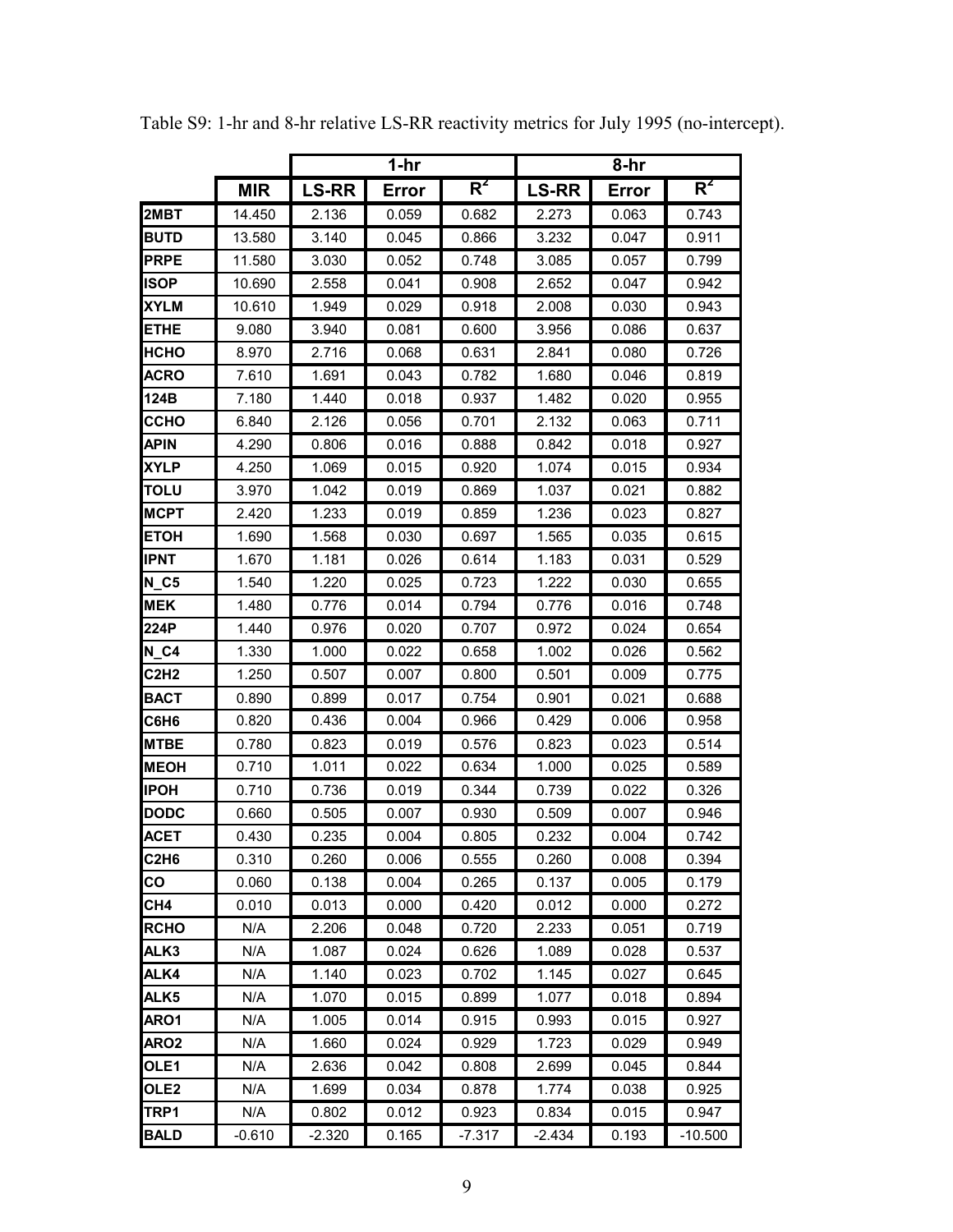|                               |            |              | $1-hr$ |          | 8-hr         |       |           |  |
|-------------------------------|------------|--------------|--------|----------|--------------|-------|-----------|--|
|                               | <b>MIR</b> | <b>LS-RR</b> | Error  | $R^2$    | <b>LS-RR</b> | Error | $R^2$     |  |
| 2MBT                          | 14.450     | 2.136        | 0.059  | 0.682    | 2.273        | 0.063 | 0.743     |  |
| <b>BUTD</b>                   | 13.580     | 3.140        | 0.045  | 0.866    | 3.232        | 0.047 | 0.911     |  |
| <b>PRPE</b>                   | 11.580     | 3.030        | 0.052  | 0.748    | 3.085        | 0.057 | 0.799     |  |
| <b>ISOP</b>                   | 10.690     | 2.558        | 0.041  | 0.908    | 2.652        | 0.047 | 0.942     |  |
| <b>XYLM</b>                   | 10.610     | 1.949        | 0.029  | 0.918    | 2.008        | 0.030 | 0.943     |  |
| ETHE                          | 9.080      | 3.940        | 0.081  | 0.600    | 3.956        | 0.086 | 0.637     |  |
| НСНО                          | 8.970      | 2.716        | 0.068  | 0.631    | 2.841        | 0.080 | 0.726     |  |
| <b>ACRO</b>                   | 7.610      | 1.691        | 0.043  | 0.782    | 1.680        | 0.046 | 0.819     |  |
| 124B                          | 7.180      | 1.440        | 0.018  | 0.937    | 1.482        | 0.020 | 0.955     |  |
| ссно                          | 6.840      | 2.126        | 0.056  | 0.701    | 2.132        | 0.063 | 0.711     |  |
| <b>APIN</b>                   | 4.290      | 0.806        | 0.016  | 0.888    | 0.842        | 0.018 | 0.927     |  |
| <b>XYLP</b>                   | 4.250      | 1.069        | 0.015  | 0.920    | 1.074        | 0.015 | 0.934     |  |
| TOLU                          | 3.970      | 1.042        | 0.019  | 0.869    | 1.037        | 0.021 | 0.882     |  |
| <b>MCPT</b>                   | 2.420      | 1.233        | 0.019  | 0.859    | 1.236        | 0.023 | 0.827     |  |
| <b>ETOH</b>                   | 1.690      | 1.568        | 0.030  | 0.697    | 1.565        | 0.035 | 0.615     |  |
| <b>IPNT</b>                   | 1.670      | 1.181        | 0.026  | 0.614    | 1.183        | 0.031 | 0.529     |  |
| $N_{C}$ 5                     | 1.540      | 1.220        | 0.025  | 0.723    | 1.222        | 0.030 | 0.655     |  |
| <b>MEK</b>                    | 1.480      | 0.776        | 0.014  | 0.794    | 0.776        | 0.016 | 0.748     |  |
| 224P                          | 1.440      | 0.976        | 0.020  | 0.707    | 0.972        | 0.024 | 0.654     |  |
| $N_{C4}$                      | 1.330      | 1.000        | 0.022  | 0.658    | 1.002        | 0.026 | 0.562     |  |
| C2H2                          | 1.250      | 0.507        | 0.007  | 0.800    | 0.501        | 0.009 | 0.775     |  |
| <b>BACT</b>                   | 0.890      | 0.899        | 0.017  | 0.754    | 0.901        | 0.021 | 0.688     |  |
| C6H6                          | 0.820      | 0.436        | 0.004  | 0.966    | 0.429        | 0.006 | 0.958     |  |
| <b>MTBE</b>                   | 0.780      | 0.823        | 0.019  | 0.576    | 0.823        | 0.023 | 0.514     |  |
| <b>MEOH</b>                   | 0.710      | 1.011        | 0.022  | 0.634    | 1.000        | 0.025 | 0.589     |  |
| <b>IPOH</b>                   | 0.710      | 0.736        | 0.019  | 0.344    | 0.739        | 0.022 | 0.326     |  |
| <b>DODC</b>                   | 0.660      | 0.505        | 0.007  | 0.930    | 0.509        | 0.007 | 0.946     |  |
| <b>ACET</b>                   | 0.430      | 0.235        | 0.004  | 0.805    | 0.232        | 0.004 | 0.742     |  |
| C <sub>2</sub> H <sub>6</sub> | 0.310      | 0.260        | 0.006  | 0.555    | 0.260        | 0.008 | 0.394     |  |
| CO                            | 0.060      | 0.138        | 0.004  | 0.265    | 0.137        | 0.005 | 0.179     |  |
| CH4                           | 0.010      | 0.013        | 0.000  | 0.420    | 0.012        | 0.000 | 0.272     |  |
| <b>RCHO</b>                   | N/A        | 2.206        | 0.048  | 0.720    | 2.233        | 0.051 | 0.719     |  |
| ALK3                          | N/A        | 1.087        | 0.024  | 0.626    | 1.089        | 0.028 | 0.537     |  |
| ALK4                          | N/A        | 1.140        | 0.023  | 0.702    | 1.145        | 0.027 | 0.645     |  |
| ALK <sub>5</sub>              | N/A        | 1.070        | 0.015  | 0.899    | 1.077        | 0.018 | 0.894     |  |
| ARO1                          | N/A        | 1.005        | 0.014  | 0.915    | 0.993        | 0.015 | 0.927     |  |
| ARO <sub>2</sub>              | N/A        | 1.660        | 0.024  | 0.929    | 1.723        | 0.029 | 0.949     |  |
| OLE1                          | N/A        | 2.636        | 0.042  | 0.808    | 2.699        | 0.045 | 0.844     |  |
| OLE <sub>2</sub>              | N/A        | 1.699        | 0.034  | 0.878    | 1.774        | 0.038 | 0.925     |  |
| TRP1                          | N/A        | 0.802        | 0.012  | 0.923    | 0.834        | 0.015 | 0.947     |  |
| <b>BALD</b>                   | $-0.610$   | $-2.320$     | 0.165  | $-7.317$ | $-2.434$     | 0.193 | $-10.500$ |  |

Table S9: 1-hr and 8-hr relative LS-RR reactivity metrics for July 1995 (no-intercept).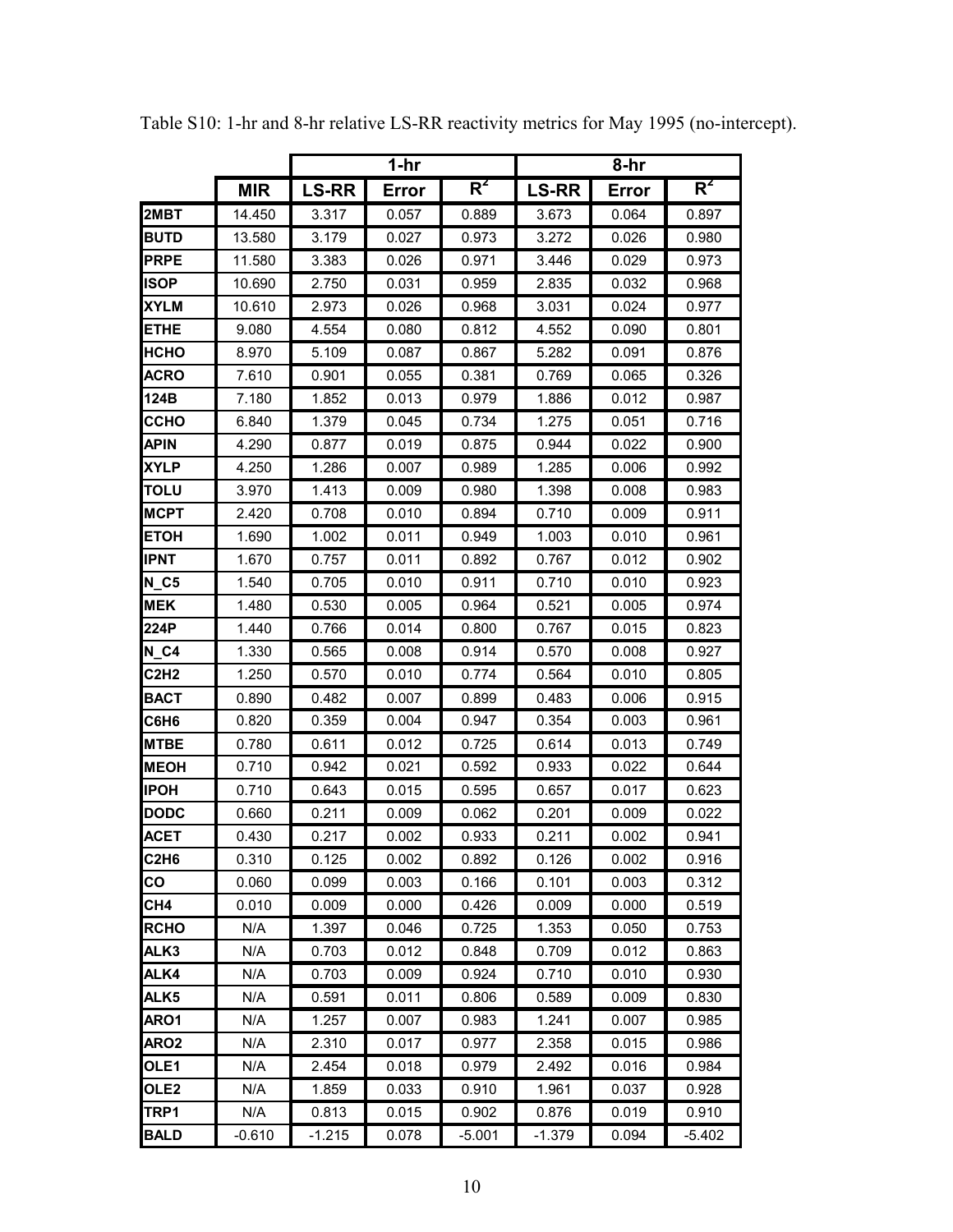|                  |            |              | $1-hr$ |          | 8-hr         |       |          |  |
|------------------|------------|--------------|--------|----------|--------------|-------|----------|--|
|                  | <b>MIR</b> | <b>LS-RR</b> | Error  | $R^2$    | <b>LS-RR</b> | Error | $R^2$    |  |
| 2MBT             | 14.450     | 3.317        | 0.057  | 0.889    | 3.673        | 0.064 | 0.897    |  |
| <b>BUTD</b>      | 13.580     | 3.179        | 0.027  | 0.973    | 3.272        | 0.026 | 0.980    |  |
| <b>PRPE</b>      | 11.580     | 3.383        | 0.026  | 0.971    | 3.446        | 0.029 | 0.973    |  |
| <b>ISOP</b>      | 10.690     | 2.750        | 0.031  | 0.959    | 2.835        | 0.032 | 0.968    |  |
| <b>XYLM</b>      | 10.610     | 2.973        | 0.026  | 0.968    | 3.031        | 0.024 | 0.977    |  |
| ETHE             | 9.080      | 4.554        | 0.080  | 0.812    | 4.552        | 0.090 | 0.801    |  |
| <b>HCHO</b>      | 8.970      | 5.109        | 0.087  | 0.867    | 5.282        | 0.091 | 0.876    |  |
| <b>ACRO</b>      | 7.610      | 0.901        | 0.055  | 0.381    | 0.769        | 0.065 | 0.326    |  |
| 124B             | 7.180      | 1.852        | 0.013  | 0.979    | 1.886        | 0.012 | 0.987    |  |
| ССНО             | 6.840      | 1.379        | 0.045  | 0.734    | 1.275        | 0.051 | 0.716    |  |
| <b>APIN</b>      | 4.290      | 0.877        | 0.019  | 0.875    | 0.944        | 0.022 | 0.900    |  |
| <b>XYLP</b>      | 4.250      | 1.286        | 0.007  | 0.989    | 1.285        | 0.006 | 0.992    |  |
| <b>TOLU</b>      | 3.970      | 1.413        | 0.009  | 0.980    | 1.398        | 0.008 | 0.983    |  |
| <b>MCPT</b>      | 2.420      | 0.708        | 0.010  | 0.894    | 0.710        | 0.009 | 0.911    |  |
| <b>ETOH</b>      | 1.690      | 1.002        | 0.011  | 0.949    | 1.003        | 0.010 | 0.961    |  |
| <b>IPNT</b>      | 1.670      | 0.757        | 0.011  | 0.892    | 0.767        | 0.012 | 0.902    |  |
| <b>N C5</b>      | 1.540      | 0.705        | 0.010  | 0.911    | 0.710        | 0.010 | 0.923    |  |
| <b>MEK</b>       | 1.480      | 0.530        | 0.005  | 0.964    | 0.521        | 0.005 | 0.974    |  |
| 224P             | 1.440      | 0.766        | 0.014  | 0.800    | 0.767        | 0.015 | 0.823    |  |
| $N_{C4}$         | 1.330      | 0.565        | 0.008  | 0.914    | 0.570        | 0.008 | 0.927    |  |
| C2H2             | 1.250      | 0.570        | 0.010  | 0.774    | 0.564        | 0.010 | 0.805    |  |
| <b>BACT</b>      | 0.890      | 0.482        | 0.007  | 0.899    | 0.483        | 0.006 | 0.915    |  |
| C6H6             | 0.820      | 0.359        | 0.004  | 0.947    | 0.354        | 0.003 | 0.961    |  |
| <b>MTBE</b>      | 0.780      | 0.611        | 0.012  | 0.725    | 0.614        | 0.013 | 0.749    |  |
| <b>MEOH</b>      | 0.710      | 0.942        | 0.021  | 0.592    | 0.933        | 0.022 | 0.644    |  |
| <b>IPOH</b>      | 0.710      | 0.643        | 0.015  | 0.595    | 0.657        | 0.017 | 0.623    |  |
| <b>DODC</b>      | 0.660      | 0.211        | 0.009  | 0.062    | 0.201        | 0.009 | 0.022    |  |
| <b>ACET</b>      | 0.430      | 0.217        | 0.002  | 0.933    | 0.211        | 0.002 | 0.941    |  |
| C2H6             | 0.310      | 0.125        | 0.002  | 0.892    | 0.126        | 0.002 | 0.916    |  |
| CO               | 0.060      | 0.099        | 0.003  | 0.166    | 0.101        | 0.003 | 0.312    |  |
| CH4              | 0.010      | 0.009        | 0.000  | 0.426    | 0.009        | 0.000 | 0.519    |  |
| <b>RCHO</b>      | N/A        | 1.397        | 0.046  | 0.725    | 1.353        | 0.050 | 0.753    |  |
| ALK3             | N/A        | 0.703        | 0.012  | 0.848    | 0.709        | 0.012 | 0.863    |  |
| ALK4             | N/A        | 0.703        | 0.009  | 0.924    | 0.710        | 0.010 | 0.930    |  |
| ALK <sub>5</sub> | N/A        | 0.591        | 0.011  | 0.806    | 0.589        | 0.009 | 0.830    |  |
| ARO1             | N/A        | 1.257        | 0.007  | 0.983    | 1.241        | 0.007 | 0.985    |  |
| ARO <sub>2</sub> | N/A        | 2.310        | 0.017  | 0.977    | 2.358        | 0.015 | 0.986    |  |
| OLE1             | N/A        | 2.454        | 0.018  | 0.979    | 2.492        | 0.016 | 0.984    |  |
| OLE <sub>2</sub> | N/A        | 1.859        | 0.033  | 0.910    | 1.961        | 0.037 | 0.928    |  |
| TRP1             | N/A        | 0.813        | 0.015  | 0.902    | 0.876        | 0.019 | 0.910    |  |
| <b>BALD</b>      | $-0.610$   | $-1.215$     | 0.078  | $-5.001$ | $-1.379$     | 0.094 | $-5.402$ |  |

Table S10: 1-hr and 8-hr relative LS-RR reactivity metrics for May 1995 (no-intercept).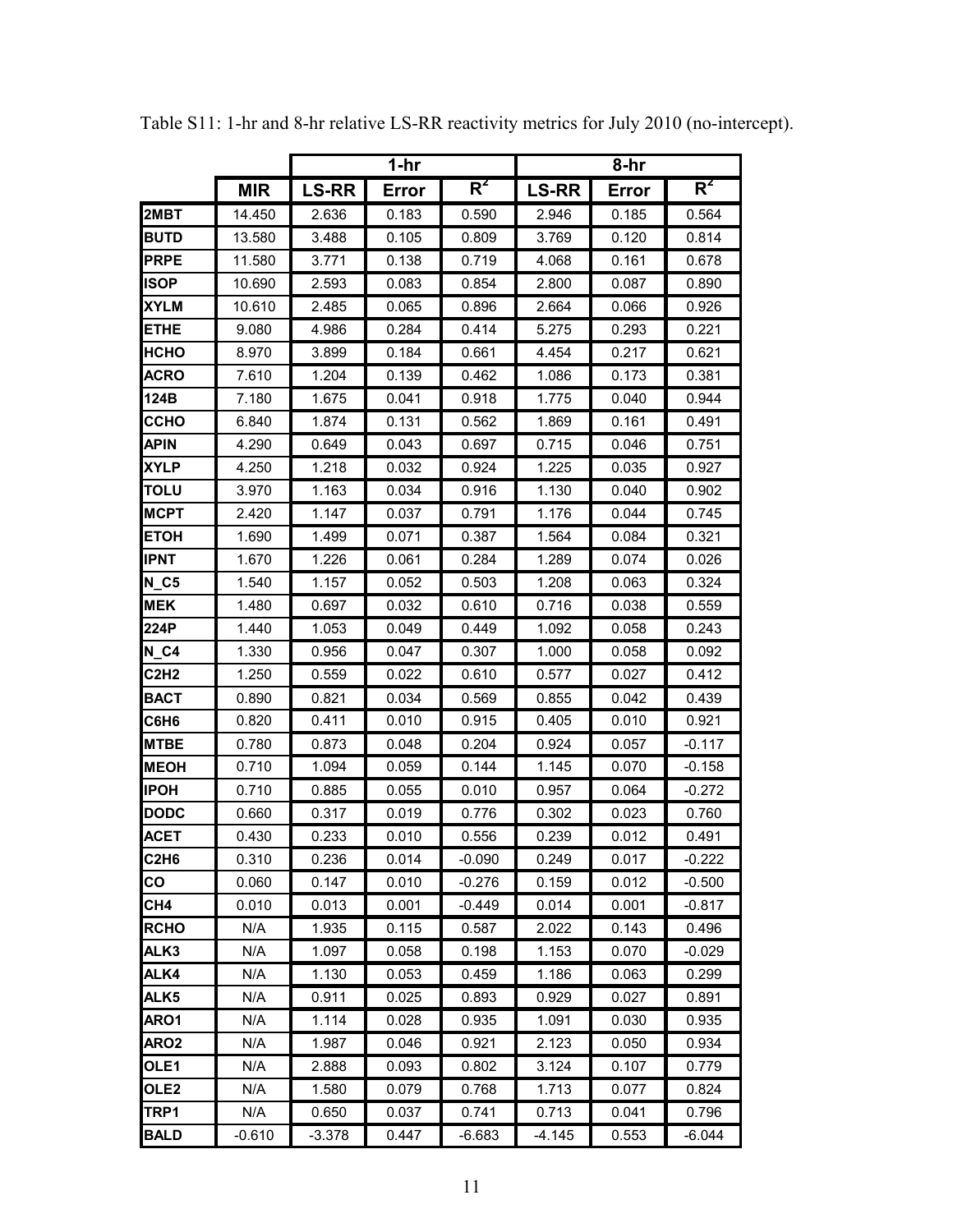|                  |            |              | $1-hr$ |                  | 8-hr         |       |          |  |
|------------------|------------|--------------|--------|------------------|--------------|-------|----------|--|
|                  | <b>MIR</b> | <b>LS-RR</b> | Error  | $\overline{R^2}$ | <b>LS-RR</b> | Error | $R^2$    |  |
| 2MBT             | 14.450     | 2.636        | 0.183  | 0.590            | 2.946        | 0.185 | 0.564    |  |
| <b>BUTD</b>      | 13.580     | 3.488        | 0.105  | 0.809            | 3.769        | 0.120 | 0.814    |  |
| <b>PRPE</b>      | 11.580     | 3.771        | 0.138  | 0.719            | 4.068        | 0.161 | 0.678    |  |
| ISOP             | 10.690     | 2.593        | 0.083  | 0.854            | 2.800        | 0.087 | 0.890    |  |
| <b>XYLM</b>      | 10.610     | 2.485        | 0.065  | 0.896            | 2.664        | 0.066 | 0.926    |  |
| <b>ETHE</b>      | 9.080      | 4.986        | 0.284  | 0.414            | 5.275        | 0.293 | 0.221    |  |
| HCHO             | 8.970      | 3.899        | 0.184  | 0.661            | 4.454        | 0.217 | 0.621    |  |
| <b>ACRO</b>      | 7.610      | 1.204        | 0.139  | 0.462            | 1.086        | 0.173 | 0.381    |  |
| 124B             | 7.180      | 1.675        | 0.041  | 0.918            | 1.775        | 0.040 | 0.944    |  |
| ССНО             | 6.840      | 1.874        | 0.131  | 0.562            | 1.869        | 0.161 | 0.491    |  |
| <b>APIN</b>      | 4.290      | 0.649        | 0.043  | 0.697            | 0.715        | 0.046 | 0.751    |  |
| <b>XYLP</b>      | 4.250      | 1.218        | 0.032  | 0.924            | 1.225        | 0.035 | 0.927    |  |
| <b>TOLU</b>      | 3.970      | 1.163        | 0.034  | 0.916            | 1.130        | 0.040 | 0.902    |  |
| <b>MCPT</b>      | 2.420      | 1.147        | 0.037  | 0.791            | 1.176        | 0.044 | 0.745    |  |
| <b>ETOH</b>      | 1.690      | 1.499        | 0.071  | 0.387            | 1.564        | 0.084 | 0.321    |  |
| <b>IPNT</b>      | 1.670      | 1.226        | 0.061  | 0.284            | 1.289        | 0.074 | 0.026    |  |
| $N_{C5}$         | 1.540      | 1.157        | 0.052  | 0.503            | 1.208        | 0.063 | 0.324    |  |
| <b>MEK</b>       | 1.480      | 0.697        | 0.032  | 0.610            | 0.716        | 0.038 | 0.559    |  |
| 224P             | 1.440      | 1.053        | 0.049  | 0.449            | 1.092        | 0.058 | 0.243    |  |
| $N_G4$           | 1.330      | 0.956        | 0.047  | 0.307            | 1.000        | 0.058 | 0.092    |  |
| C2H <sub>2</sub> | 1.250      | 0.559        | 0.022  | 0.610            | 0.577        | 0.027 | 0.412    |  |
| <b>BACT</b>      | 0.890      | 0.821        | 0.034  | 0.569            | 0.855        | 0.042 | 0.439    |  |
| C6H6             | 0.820      | 0.411        | 0.010  | 0.915            | 0.405        | 0.010 | 0.921    |  |
| <b>MTBE</b>      | 0.780      | 0.873        | 0.048  | 0.204            | 0.924        | 0.057 | $-0.117$ |  |
| <b>MEOH</b>      | 0.710      | 1.094        | 0.059  | 0.144            | 1.145        | 0.070 | $-0.158$ |  |
| <b>IPOH</b>      | 0.710      | 0.885        | 0.055  | 0.010            | 0.957        | 0.064 | $-0.272$ |  |
| <b>DODC</b>      | 0.660      | 0.317        | 0.019  | 0.776            | 0.302        | 0.023 | 0.760    |  |
| <b>ACET</b>      | 0.430      | 0.233        | 0.010  | 0.556            | 0.239        | 0.012 | 0.491    |  |
| C2H6             | 0.310      | 0.236        | 0.014  | $-0.090$         | 0.249        | 0.017 | $-0.222$ |  |
| CO               | 0.060      | 0.147        | 0.010  | $-0.276$         | 0.159        | 0.012 | $-0.500$ |  |
| CH4              | 0.010      | 0.013        | 0.001  | $-0.449$         | 0.014        | 0.001 | $-0.817$ |  |
| <b>RCHO</b>      | N/A        | 1.935        | 0.115  | 0.587            | 2.022        | 0.143 | 0.496    |  |
| ALK3             | N/A        | 1.097        | 0.058  | 0.198            | 1.153        | 0.070 | $-0.029$ |  |
| ALK4             | N/A        | 1.130        | 0.053  | 0.459            | 1.186        | 0.063 | 0.299    |  |
| ALK5             | N/A        | 0.911        | 0.025  | 0.893            | 0.929        | 0.027 | 0.891    |  |
| ARO1             | N/A        | 1.114        | 0.028  | 0.935            | 1.091        | 0.030 | 0.935    |  |
| ARO <sub>2</sub> | N/A        | 1.987        | 0.046  | 0.921            | 2.123        | 0.050 | 0.934    |  |
| OLE1             | N/A        | 2.888        | 0.093  | 0.802            | 3.124        | 0.107 | 0.779    |  |
| OLE <sub>2</sub> | N/A        | 1.580        | 0.079  | 0.768            | 1.713        | 0.077 | 0.824    |  |
| TRP1             | N/A        | 0.650        | 0.037  | 0.741            | 0.713        | 0.041 | 0.796    |  |
| <b>BALD</b>      | $-0.610$   | $-3.378$     | 0.447  | $-6.683$         | $-4.145$     | 0.553 | $-6.044$ |  |

Table S11: 1-hr and 8-hr relative LS-RR reactivity metrics for July 2010 (no-intercept).